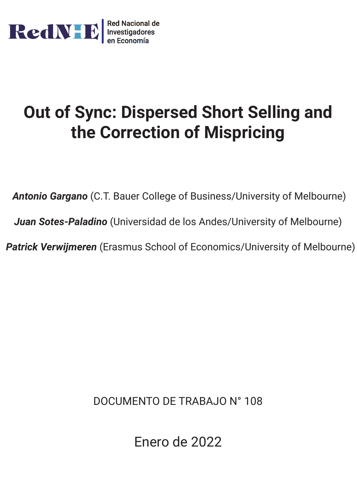

# **Out of Sync: Dispersed Short Selling and the Correction of Mispricing**

*Antonio Gargano* (C.T. Bauer College of Business/University of Melbourne) *Juan Sotes-Paladino* (Universidad de los Andes/University of Melbourne)

*Patrick Verwijmeren* (Erasmus School of Economics/University of Melbourne)

DOCUMENTO DE TRABAJO N° 108

Enero de 2022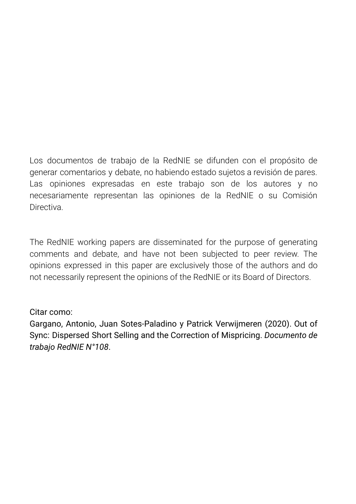Los documentos de trabajo de la RedNIE se difunden con el propósito de generar comentarios y debate, no habiendo estado sujetos a revisión de pares. Las opiniones expresadas en este trabajo son de los autores y no necesariamente representan las opiniones de la RedNIE o su Comisión Directiva.

The RedNIE working papers are disseminated for the purpose of generating comments and debate, and have not been subjected to peer review. The opinions expressed in this paper are exclusively those of the authors and do not necessarily represent the opinions of the RedNIE or its Board of Directors.

## Citar como:

Gargano, Antonio, Juan Sotes-Paladino y Patrick Verwijmeren (2020). Out of Sync: Dispersed Short Selling and the Correction of Mispricing. *Documento de trabajo RedNIE N°108*.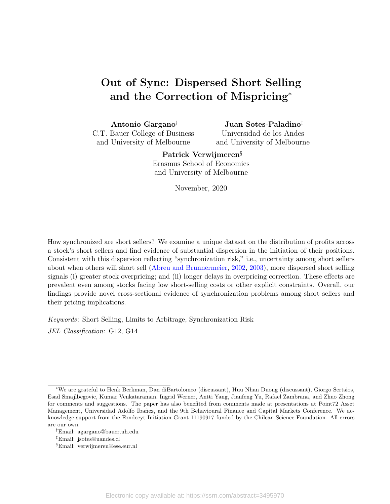# <span id="page-2-0"></span>Out of Sync: Dispersed Short Selling and the Correction of Mispricing<sup>∗</sup>

Antonio Gargano† C.T. Bauer College of Business and University of Melbourne

Juan Sotes-Paladino‡ Universidad de los Andes

and University of Melbourne

Patrick Verwijmeren§

Erasmus School of Economics and University of Melbourne

November, 2020

How synchronized are short sellers? We examine a unique dataset on the distribution of profits across a stock's short sellers and find evidence of substantial dispersion in the initiation of their positions. Consistent with this dispersion reflecting "synchronization risk," i.e., uncertainty among short sellers about when others will short sell [\(Abreu and Brunnermeier,](#page-32-0) [2002,](#page-32-0) [2003\)](#page-32-1), more dispersed short selling signals (i) greater stock overpricing; and (ii) longer delays in overpricing correction. These effects are prevalent even among stocks facing low short-selling costs or other explicit constraints. Overall, our findings provide novel cross-sectional evidence of synchronization problems among short sellers and their pricing implications.

Keywords: Short Selling, Limits to Arbitrage, Synchronization Risk

JEL Classification: G12, G14

<sup>∗</sup>We are grateful to Henk Berkman, Dan diBartolomeo (discussant), Huu Nhan Duong (discussant), Giorgo Sertsios, Esad Smajlbegovic, Kumar Venkataraman, Ingrid Werner, Antti Yang, Jianfeng Yu, Rafael Zambrana, and Zhuo Zhong for comments and suggestions. The paper has also benefited from comments made at presentations at Point72 Asset Management, Universidad Adolfo Ibañez, and the 9th Behavioural Finance and Capital Markets Conference. We acknowledge support from the Fondecyt Initiation Grant 11190917 funded by the Chilean Science Foundation. All errors are our own.

<sup>†</sup>Email: agargano@bauer.uh.edu

<sup>‡</sup>Email: jsotes@uandes.cl

<sup>§</sup>Email: verwijmeren@ese.eur.nl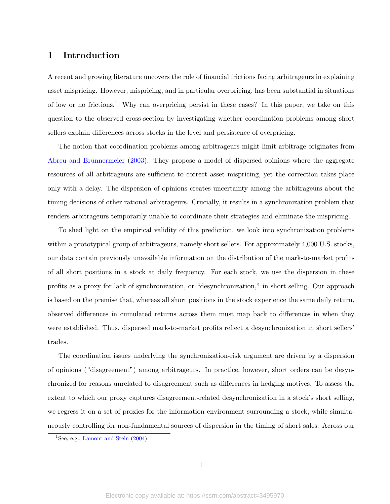## 1 Introduction

A recent and growing literature uncovers the role of financial frictions facing arbitrageurs in explaining asset mispricing. However, mispricing, and in particular overpricing, has been substantial in situations of low or no frictions.[1](#page-2-0) Why can overpricing persist in these cases? In this paper, we take on this question to the observed cross-section by investigating whether coordination problems among short sellers explain differences across stocks in the level and persistence of overpricing.

The notion that coordination problems among arbitrageurs might limit arbitrage originates from [Abreu and Brunnermeier](#page-32-1) [\(2003\)](#page-32-1). They propose a model of dispersed opinions where the aggregate resources of all arbitrageurs are sufficient to correct asset mispricing, yet the correction takes place only with a delay. The dispersion of opinions creates uncertainty among the arbitrageurs about the timing decisions of other rational arbitrageurs. Crucially, it results in a synchronization problem that renders arbitrageurs temporarily unable to coordinate their strategies and eliminate the mispricing.

To shed light on the empirical validity of this prediction, we look into synchronization problems within a prototypical group of arbitrageurs, namely short sellers. For approximately 4,000 U.S. stocks, our data contain previously unavailable information on the distribution of the mark-to-market profits of all short positions in a stock at daily frequency. For each stock, we use the dispersion in these profits as a proxy for lack of synchronization, or "desynchronization," in short selling. Our approach is based on the premise that, whereas all short positions in the stock experience the same daily return, observed differences in cumulated returns across them must map back to differences in when they were established. Thus, dispersed mark-to-market profits reflect a desynchronization in short sellers' trades.

The coordination issues underlying the synchronization-risk argument are driven by a dispersion of opinions ("disagreement") among arbitrageurs. In practice, however, short orders can be desynchronized for reasons unrelated to disagreement such as differences in hedging motives. To assess the extent to which our proxy captures disagreement-related desynchronization in a stock's short selling, we regress it on a set of proxies for the information environment surrounding a stock, while simultaneously controlling for non-fundamental sources of dispersion in the timing of short sales. Across our

<sup>&</sup>lt;sup>1</sup>See, e.g., [Lamont and Stein](#page-35-0)  $(2004)$ .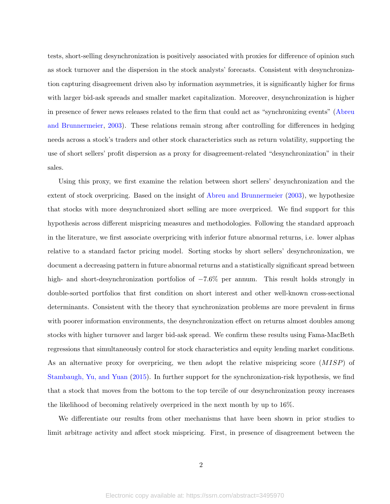tests, short-selling desynchronization is positively associated with proxies for difference of opinion such as stock turnover and the dispersion in the stock analysts' forecasts. Consistent with desynchronization capturing disagreement driven also by information asymmetries, it is significantly higher for firms with larger bid-ask spreads and smaller market capitalization. Moreover, desynchronization is higher in presence of fewer news releases related to the firm that could act as "synchronizing events" [\(Abreu](#page-32-1) [and Brunnermeier,](#page-32-1) [2003\)](#page-32-1). These relations remain strong after controlling for differences in hedging needs across a stock's traders and other stock characteristics such as return volatility, supporting the use of short sellers' profit dispersion as a proxy for disagreement-related "desynchronization" in their sales.

Using this proxy, we first examine the relation between short sellers' desynchronization and the extent of stock overpricing. Based on the insight of [Abreu and Brunnermeier](#page-32-1) [\(2003\)](#page-32-1), we hypothesize that stocks with more desynchronized short selling are more overpriced. We find support for this hypothesis across different mispricing measures and methodologies. Following the standard approach in the literature, we first associate overpricing with inferior future abnormal returns, i.e. lower alphas relative to a standard factor pricing model. Sorting stocks by short sellers' desynchronization, we document a decreasing pattern in future abnormal returns and a statistically significant spread between high- and short-desynchronization portfolios of −7.6% per annum. This result holds strongly in double-sorted portfolios that first condition on short interest and other well-known cross-sectional determinants. Consistent with the theory that synchronization problems are more prevalent in firms with poorer information environments, the desynchronization effect on returns almost doubles among stocks with higher turnover and larger bid-ask spread. We confirm these results using Fama-MacBeth regressions that simultaneously control for stock characteristics and equity lending market conditions. As an alternative proxy for overpricing, we then adopt the relative mispricing score (MISP) of [Stambaugh, Yu, and Yuan](#page-36-0) [\(2015\)](#page-36-0). In further support for the synchronization-risk hypothesis, we find that a stock that moves from the bottom to the top tercile of our desynchronization proxy increases the likelihood of becoming relatively overpriced in the next month by up to 16%.

We differentiate our results from other mechanisms that have been shown in prior studies to limit arbitrage activity and affect stock mispricing. First, in presence of disagreement between the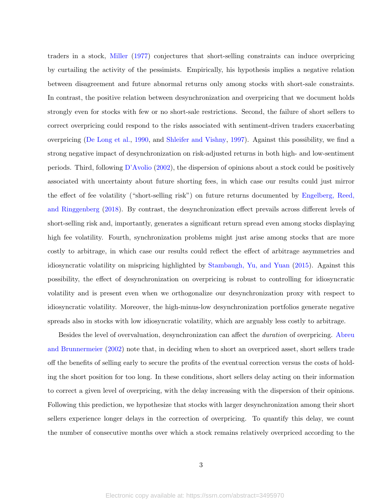traders in a stock, [Miller](#page-36-1) [\(1977\)](#page-36-1) conjectures that short-selling constraints can induce overpricing by curtailing the activity of the pessimists. Empirically, his hypothesis implies a negative relation between disagreement and future abnormal returns only among stocks with short-sale constraints. In contrast, the positive relation between desynchronization and overpricing that we document holds strongly even for stocks with few or no short-sale restrictions. Second, the failure of short sellers to correct overpricing could respond to the risks associated with sentiment-driven traders exacerbating overpricing [\(De Long et al.,](#page-33-0) [1990,](#page-33-0) and [Shleifer and Vishny,](#page-36-2) [1997\)](#page-36-2). Against this possibility, we find a strong negative impact of desynchronization on risk-adjusted returns in both high- and low-sentiment periods. Third, following [D'Avolio](#page-33-1) [\(2002\)](#page-33-1), the dispersion of opinions about a stock could be positively associated with uncertainty about future shorting fees, in which case our results could just mirror the effect of fee volatility ("short-selling risk") on future returns documented by [Engelberg, Reed,](#page-34-0) [and Ringgenberg](#page-34-0) [\(2018\)](#page-34-0). By contrast, the desynchronization effect prevails across different levels of short-selling risk and, importantly, generates a significant return spread even among stocks displaying high fee volatility. Fourth, synchronization problems might just arise among stocks that are more costly to arbitrage, in which case our results could reflect the effect of arbitrage asymmetries and idiosyncratic volatility on mispricing highlighted by [Stambaugh, Yu, and Yuan](#page-36-0) [\(2015\)](#page-36-0). Against this possibility, the effect of desynchronization on overpricing is robust to controlling for idiosyncratic volatility and is present even when we orthogonalize our desynchronization proxy with respect to idiosyncratic volatility. Moreover, the high-minus-low desynchronization portfolios generate negative spreads also in stocks with low idiosyncratic volatility, which are arguably less costly to arbitrage.

Besides the level of overvaluation, desynchronization can affect the *duration* of overpricing. [Abreu](#page-32-0) [and Brunnermeier](#page-32-0) [\(2002\)](#page-32-0) note that, in deciding when to short an overpriced asset, short sellers trade off the benefits of selling early to secure the profits of the eventual correction versus the costs of holding the short position for too long. In these conditions, short sellers delay acting on their information to correct a given level of overpricing, with the delay increasing with the dispersion of their opinions. Following this prediction, we hypothesize that stocks with larger desynchronization among their short sellers experience longer delays in the correction of overpricing. To quantify this delay, we count the number of consecutive months over which a stock remains relatively overpriced according to the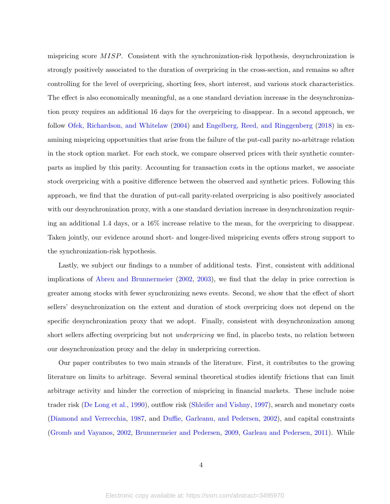mispricing score MISP. Consistent with the synchronization-risk hypothesis, desynchronization is strongly positively associated to the duration of overpricing in the cross-section, and remains so after controlling for the level of overpricing, shorting fees, short interest, and various stock characteristics. The effect is also economically meaningful, as a one standard deviation increase in the desynchronization proxy requires an additional 16 days for the overpricing to disappear. In a second approach, we follow [Ofek, Richardson, and Whitelaw](#page-36-3) [\(2004\)](#page-36-3) and [Engelberg, Reed, and Ringgenberg](#page-34-0) [\(2018\)](#page-34-0) in examining mispricing opportunities that arise from the failure of the put-call parity no-arbitrage relation in the stock option market. For each stock, we compare observed prices with their synthetic counterparts as implied by this parity. Accounting for transaction costs in the options market, we associate stock overpricing with a positive difference between the observed and synthetic prices. Following this approach, we find that the duration of put-call parity-related overpricing is also positively associated with our desynchronization proxy, with a one standard deviation increase in desynchronization requiring an additional 1.4 days, or a 16% increase relative to the mean, for the overpricing to disappear. Taken jointly, our evidence around short- and longer-lived mispricing events offers strong support to the synchronization-risk hypothesis.

Lastly, we subject our findings to a number of additional tests. First, consistent with additional implications of [Abreu and Brunnermeier](#page-32-0) [\(2002,](#page-32-0) [2003\)](#page-32-1), we find that the delay in price correction is greater among stocks with fewer synchronizing news events. Second, we show that the effect of short sellers' desynchronization on the extent and duration of stock overpricing does not depend on the specific desynchronization proxy that we adopt. Finally, consistent with desynchronization among short sellers affecting overpricing but not underpricing we find, in placebo tests, no relation between our desynchronization proxy and the delay in underpricing correction.

Our paper contributes to two main strands of the literature. First, it contributes to the growing literature on limits to arbitrage. Several seminal theoretical studies identify frictions that can limit arbitrage activity and hinder the correction of mispricing in financial markets. These include noise trader risk [\(De Long et al.,](#page-33-0) [1990\)](#page-33-0), outflow risk [\(Shleifer and Vishny,](#page-36-2) [1997\)](#page-36-2), search and monetary costs [\(Diamond and Verrecchia,](#page-34-1) [1987,](#page-34-1) and [Duffie, Garleanu, and Pedersen,](#page-34-2) [2002\)](#page-34-2), and capital constraints [\(Gromb and Vayanos,](#page-35-1) [2002,](#page-35-1) [Brunnermeier and Pedersen,](#page-33-2) [2009,](#page-33-2) [Garleau and Pedersen,](#page-34-3) [2011\)](#page-34-3). While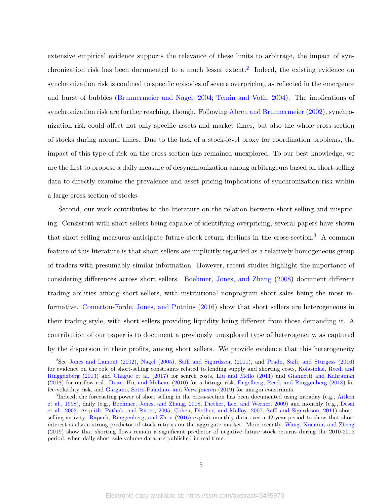extensive empirical evidence supports the relevance of these limits to arbitrage, the impact of syn-chronization risk has been documented to a much lesser extent.<sup>[2](#page-2-0)</sup> Indeed, the existing evidence on synchronization risk is confined to specific episodes of severe overpricing, as reflected in the emergence and burst of bubbles [\(Brunnermeier and Nagel,](#page-33-3) [2004;](#page-33-3) [Temin and Voth,](#page-36-4) [2004\)](#page-36-4). The implications of synchronization risk are further reaching, though. Following [Abreu and Brunnermeier](#page-32-0) [\(2002\)](#page-32-0), synchronization risk could affect not only specific assets and market times, but also the whole cross-section of stocks during normal times. Due to the lack of a stock-level proxy for coordination problems, the impact of this type of risk on the cross-section has remained unexplored. To our best knowledge, we are the first to propose a daily measure of desynchronization among arbitrageurs based on short-selling data to directly examine the prevalence and asset pricing implications of synchronization risk within a large cross-section of stocks.

Second, our work contributes to the literature on the relation between short selling and mispricing. Consistent with short sellers being capable of identifying overpricing, several papers have shown that short-selling measures anticipate future stock return declines in the cross-section.<sup>[3](#page-2-0)</sup> A common feature of this literature is that short sellers are implicitly regarded as a relatively homogeneous group of traders with presumably similar information. However, recent studies highlight the importance of considering differences across short sellers. [Boehmer, Jones, and Zhang](#page-33-4) [\(2008\)](#page-33-4) document different trading abilities among short sellers, with institutional nonprogram short sales being the most informative. [Comerton-Forde, Jones, and Putnins](#page-33-5) [\(2016\)](#page-33-5) show that short sellers are heterogeneous in their trading style, with short sellers providing liquidity being different from those demanding it. A contribution of our paper is to document a previously unexplored type of heterogeneity, as captured by the dispersion in their profits, among short sellers. We provide evidence that this heterogeneity

<sup>2</sup>See [Jones and Lamont](#page-35-2) [\(2002\)](#page-35-2), [Nagel](#page-36-5) [\(2005\)](#page-36-5), [Saffi and Sigurdsson](#page-36-6) [\(2011\)](#page-36-6), and [Prado, Saffi, and Sturgess](#page-36-7) [\(2016\)](#page-36-7) for evidence on the role of short-selling constraints related to lending supply and shorting costs, [Kolasinksi, Reed, and](#page-35-3) [Ringgenberg](#page-35-3) [\(2013\)](#page-35-3) and [Chague et al.](#page-33-6) [\(2017\)](#page-33-6) for search costs, [Liu and Mello](#page-35-4) [\(2011\)](#page-35-4) and [Giannetti and Kahraman](#page-35-5) [\(2018\)](#page-35-5) for outflow risk, [Duan, Hu, and McLean](#page-34-4) [\(2010\)](#page-34-4) for arbitrage risk, [Engelberg, Reed, and Ringgenberg](#page-34-0) [\(2018\)](#page-34-0) for fee-volatility risk, and [Gargano, Sotes-Paladino, and Verwijmeren](#page-34-5) [\(2019\)](#page-34-5) for margin constraints.

<sup>&</sup>lt;sup>3</sup>Indeed, the forecasting power of short selling in the cross-section has been documented using intraday (e.g., [Aitken](#page-32-2) [et al.,](#page-32-2) [1998\)](#page-32-2), daily (e.g., [Boehmer, Jones, and Zhang,](#page-33-4) [2008,](#page-33-4) [Diether, Lee, and Werner,](#page-34-6) [2009\)](#page-34-6) and monthly (e.g., [Desai](#page-34-7) [et al.,](#page-34-7) [2002,](#page-34-7) [Asquith, Pathak, and Ritter,](#page-32-3) [2005,](#page-32-3) [Cohen, Diether, and Malloy,](#page-33-7) [2007,](#page-33-7) [Saffi and Sigurdsson,](#page-36-6) [2011\)](#page-36-6) shortselling activity. [Rapach, Ringgenberg, and Zhou](#page-36-8) [\(2016\)](#page-36-8) exploit monthly data over a 42-year period to show that short interest is also a strong predictor of stock returns on the aggregate market. More recently, [Wang, Xuemin, and Zheng](#page-37-0) [\(2019\)](#page-37-0) show that shorting flows remain a significant predictor of negative future stock returns during the 2010-2015 period, when daily short-sale volume data are published in real time.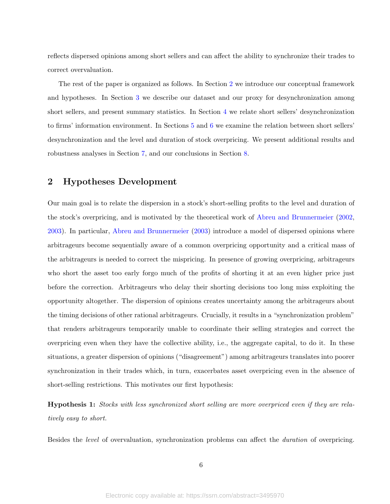reflects dispersed opinions among short sellers and can affect the ability to synchronize their trades to correct overvaluation.

The rest of the paper is organized as follows. In Section [2](#page-8-0) we introduce our conceptual framework and hypotheses. In Section [3](#page-9-0) we describe our dataset and our proxy for desynchronization among short sellers, and present summary statistics. In Section [4](#page-14-0) we relate short sellers' desynchronization to firms' information environment. In Sections [5](#page-17-0) and [6](#page-25-0) we examine the relation between short sellers' desynchronization and the level and duration of stock overpricing. We present additional results and robustness analyses in Section [7,](#page-28-0) and our conclusions in Section [8.](#page-31-0)

## <span id="page-8-0"></span>2 Hypotheses Development

Our main goal is to relate the dispersion in a stock's short-selling profits to the level and duration of the stock's overpricing, and is motivated by the theoretical work of [Abreu and Brunnermeier](#page-32-0) [\(2002,](#page-32-0) [2003\)](#page-32-1). In particular, [Abreu and Brunnermeier](#page-32-1) [\(2003\)](#page-32-1) introduce a model of dispersed opinions where arbitrageurs become sequentially aware of a common overpricing opportunity and a critical mass of the arbitrageurs is needed to correct the mispricing. In presence of growing overpricing, arbitrageurs who short the asset too early forgo much of the profits of shorting it at an even higher price just before the correction. Arbitrageurs who delay their shorting decisions too long miss exploiting the opportunity altogether. The dispersion of opinions creates uncertainty among the arbitrageurs about the timing decisions of other rational arbitrageurs. Crucially, it results in a "synchronization problem" that renders arbitrageurs temporarily unable to coordinate their selling strategies and correct the overpricing even when they have the collective ability, i.e., the aggregate capital, to do it. In these situations, a greater dispersion of opinions ("disagreement") among arbitrageurs translates into poorer synchronization in their trades which, in turn, exacerbates asset overpricing even in the absence of short-selling restrictions. This motivates our first hypothesis:

<span id="page-8-1"></span>Hypothesis 1: Stocks with less synchronized short selling are more overpriced even if they are relatively easy to short.

Besides the level of overvaluation, synchronization problems can affect the duration of overpricing.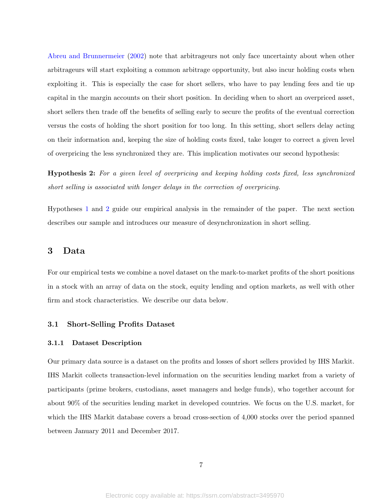[Abreu and Brunnermeier](#page-32-0) [\(2002\)](#page-32-0) note that arbitrageurs not only face uncertainty about when other arbitrageurs will start exploiting a common arbitrage opportunity, but also incur holding costs when exploiting it. This is especially the case for short sellers, who have to pay lending fees and tie up capital in the margin accounts on their short position. In deciding when to short an overpriced asset, short sellers then trade off the benefits of selling early to secure the profits of the eventual correction versus the costs of holding the short position for too long. In this setting, short sellers delay acting on their information and, keeping the size of holding costs fixed, take longer to correct a given level of overpricing the less synchronized they are. This implication motivates our second hypothesis:

<span id="page-9-1"></span>Hypothesis 2: For a given level of overpricing and keeping holding costs fixed, less synchronized short selling is associated with longer delays in the correction of overpricing.

Hypotheses [1](#page-8-1) and [2](#page-9-1) guide our empirical analysis in the remainder of the paper. The next section describes our sample and introduces our measure of desynchronization in short selling.

## <span id="page-9-0"></span>3 Data

For our empirical tests we combine a novel dataset on the mark-to-market profits of the short positions in a stock with an array of data on the stock, equity lending and option markets, as well with other firm and stock characteristics. We describe our data below.

#### 3.1 Short-Selling Profits Dataset

#### <span id="page-9-2"></span>3.1.1 Dataset Description

Our primary data source is a dataset on the profits and losses of short sellers provided by IHS Markit. IHS Markit collects transaction-level information on the securities lending market from a variety of participants (prime brokers, custodians, asset managers and hedge funds), who together account for about 90% of the securities lending market in developed countries. We focus on the U.S. market, for which the IHS Markit database covers a broad cross-section of 4,000 stocks over the period spanned between January 2011 and December 2017.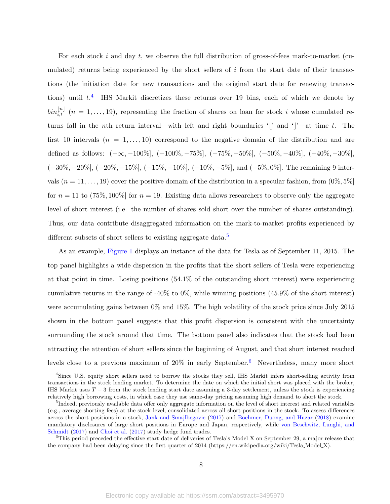For each stock  $i$  and day  $t$ , we observe the full distribution of gross-of-fees mark-to-market (cumulated) returns being experienced by the short sellers of  $i$  from the start date of their transactions (the initiation date for new transactions and the original start date for renewing transactions) until  $t^4$  $t^4$ . IHS Markit discretizes these returns over 19 bins, each of which we denote by  $\text{bin}_{i,t}^{[n]}$   $(n = 1, \ldots, 19)$ , representing the fraction of shares on loan for stock i whose cumulated returns fall in the nth return interval—with left and right boundaries '|' and '|'—at time t. The first 10 intervals  $(n = 1, \ldots, 10)$  correspond to the negative domain of the distribution and are defined as follows:  $(-\infty, -100\%]$ ,  $(-100\%, -75\%]$ ,  $(-75\%, -50\%]$ ,  $(-50\%, -40\%]$ ,  $(-40\%, -30\%]$ , (−30%, −20%], (−20%, −15%], (−15%, −10%], (−10%, −5%], and (−5%, 0%]. The remaining 9 intervals  $(n = 11, \ldots, 19)$  cover the positive domain of the distribution in a specular fashion, from  $(0\%, 5\%)$ for  $n = 11$  to (75%, 100%) for  $n = 19$ . Existing data allows researchers to observe only the aggregate level of short interest (i.e. the number of shares sold short over the number of shares outstanding). Thus, our data contribute disaggregated information on the mark-to-market profits experienced by different subsets of short sellers to existing aggregate data.<sup>[5](#page-2-0)</sup>

As an example, Figure [1](#page-38-0) displays an instance of the data for Tesla as of September 11, 2015. The top panel highlights a wide dispersion in the profits that the short sellers of Tesla were experiencing at that point in time. Losing positions (54.1% of the outstanding short interest) were experiencing cumulative returns in the range of -40% to 0%, while winning positions (45.9% of the short interest) were accumulating gains between 0% and 15%. The high volatility of the stock price since July 2015 shown in the bottom panel suggests that this profit dispersion is consistent with the uncertainty surrounding the stock around that time. The bottom panel also indicates that the stock had been attracting the attention of short sellers since the beginning of August, and that short interest reached levels close to a previous maximum of  $20\%$  in early September.<sup>[6](#page-2-0)</sup> Nevertheless, many more short

<sup>4</sup>Since U.S. equity short sellers need to borrow the stocks they sell, IHS Markit infers short-selling activity from transactions in the stock lending market. To determine the date on which the initial short was placed with the broker, IHS Markit uses  $T-3$  from the stock lending start date assuming a 3-day settlement, unless the stock is experiencing relatively high borrowing costs, in which case they use same-day pricing assuming high demand to short the stock.

<sup>&</sup>lt;sup>5</sup>Indeed, previously available data offer only aggregate information on the level of short interest and related variables (e.g., average shorting fees) at the stock level, consolidated across all short positions in the stock. To assess differences across the short positions in a stock, [Jank and Smajlbegovic](#page-35-6) [\(2017\)](#page-35-6) and [Boehmer, Duong, and Huzar](#page-32-4) [\(2018\)](#page-32-4) examine mandatory disclosures of large short positions in Europe and Japan, respectively, while [von Beschwitz, Lunghi, and](#page-36-9) [Schmidt](#page-36-9) [\(2017\)](#page-36-9) and [Choi et al.](#page-33-8) [\(2017\)](#page-33-8) study hedge fund trades.

 $6$ This period preceded the effective start date of deliveries of Tesla's Model X on September 29, a major release that the company had been delaying since the first quarter of 2014 [\(https://en.wikipedia.org/wiki/Tesla](https://en.wikipedia.org/wiki/Tesla_Model_X) Model X).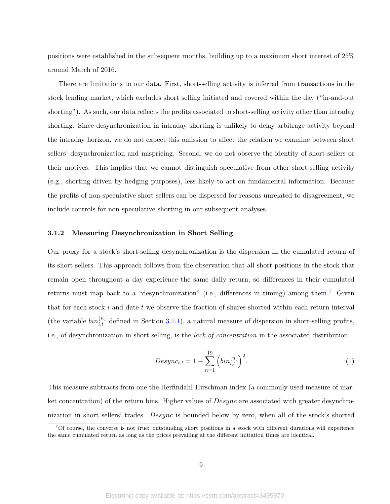positions were established in the subsequent months, building up to a maximum short interest of 25% around March of 2016.

There are limitations to our data. First, short-selling activity is inferred from transactions in the stock lending market, which excludes short selling initiated and covered within the day ("in-and-out shorting"). As such, our data reflects the profits associated to short-selling activity other than intraday shorting. Since desynchronization in intraday shorting is unlikely to delay arbitrage activity beyond the intraday horizon, we do not expect this omission to affect the relation we examine between short sellers' desynchronization and mispricing. Second, we do not observe the identity of short sellers or their motives. This implies that we cannot distinguish speculative from other short-selling activity (e.g., shorting driven by hedging purposes), less likely to act on fundamental information. Because the profits of non-speculative short sellers can be dispersed for reasons unrelated to disagreement, we include controls for non-speculative shorting in our subsequent analyses.

#### 3.1.2 Measuring Desynchronization in Short Selling

Our proxy for a stock's short-selling desynchronization is the dispersion in the cumulated return of its short sellers. This approach follows from the observation that all short positions in the stock that remain open throughout a day experience the same daily return, so differences in their cumulated returns must map back to a "desynchronization" (i.e., differences in timing) among them.<sup>[7](#page-2-0)</sup> Given that for each stock i and date t we observe the fraction of shares shorted within each return interval (the variable  $bin_{i,t}^{[n]}$  defined in Section [3.1.1\)](#page-9-2), a natural measure of dispersion in short-selling profits, i.e., of desynchronization in short selling, is the lack of concentration in the associated distribution:

<span id="page-11-1"></span><span id="page-11-0"></span>
$$
Desync_{i,t} = 1 - \sum_{n=1}^{19} \left( bin_{i,t}^{|n|} \right)^2.
$$
 (1)

This measure subtracts from one the Herfindahl-Hirschman index (a commonly used measure of market concentration) of the return bins. Higher values of Desync are associated with greater desynchronization in short sellers' trades. Desync is bounded below by zero, when all of the stock's shorted

<sup>7</sup>Of course, the converse is not true: outstanding short positions in a stock with different durations will experience the same cumulated return as long as the prices prevailing at the different initiation times are identical.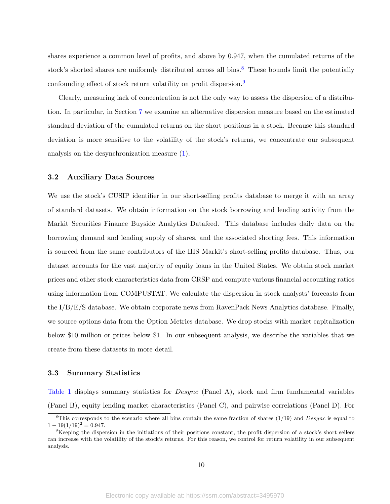shares experience a common level of profits, and above by 0.947, when the cumulated returns of the stock's shorted shares are uniformly distributed across all bins. $\frac{8}{10}$  $\frac{8}{10}$  $\frac{8}{10}$  These bounds limit the potentially confounding effect of stock return volatility on profit dispersion.<sup>[9](#page-2-0)</sup>

Clearly, measuring lack of concentration is not the only way to assess the dispersion of a distribution. In particular, in Section [7](#page-28-0) we examine an alternative dispersion measure based on the estimated standard deviation of the cumulated returns on the short positions in a stock. Because this standard deviation is more sensitive to the volatility of the stock's returns, we concentrate our subsequent analysis on the desynchronization measure [\(1\)](#page-11-0).

#### 3.2 Auxiliary Data Sources

We use the stock's CUSIP identifier in our short-selling profits database to merge it with an array of standard datasets. We obtain information on the stock borrowing and lending activity from the Markit Securities Finance Buyside Analytics Datafeed. This database includes daily data on the borrowing demand and lending supply of shares, and the associated shorting fees. This information is sourced from the same contributors of the IHS Markit's short-selling profits database. Thus, our dataset accounts for the vast majority of equity loans in the United States. We obtain stock market prices and other stock characteristics data from CRSP and compute various financial accounting ratios using information from COMPUSTAT. We calculate the dispersion in stock analysts' forecasts from the I/B/E/S database. We obtain corporate news from RavenPack News Analytics database. Finally, we source options data from the Option Metrics database. We drop stocks with market capitalization below \$10 million or prices below \$1. In our subsequent analysis, we describe the variables that we create from these datasets in more detail.

#### 3.3 Summary Statistics

Table [1](#page-40-0) displays summary statistics for *Desync* (Panel A), stock and firm fundamental variables (Panel B), equity lending market characteristics (Panel C), and pairwise correlations (Panel D). For

<sup>&</sup>lt;sup>8</sup>This corresponds to the scenario where all bins contain the same fraction of shares  $(1/19)$  and *Desync* is equal to  $1 - 19(1/19)^2 = 0.947.$ 

 $9K$ eeping the dispersion in the initiations of their positions constant, the profit dispersion of a stock's short sellers can increase with the volatility of the stock's returns. For this reason, we control for return volatility in our subsequent analysis.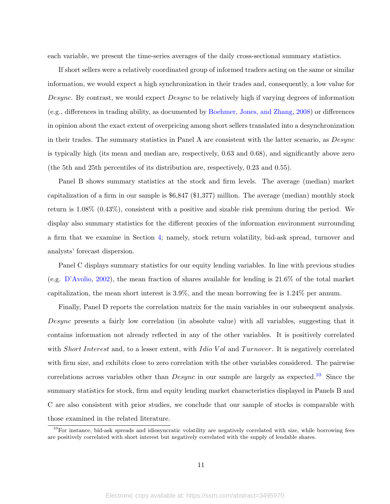each variable, we present the time-series averages of the daily cross-sectional summary statistics.

If short sellers were a relatively coordinated group of informed traders acting on the same or similar information, we would expect a high synchronization in their trades and, consequently, a low value for Desync. By contrast, we would expect *Desync* to be relatively high if varying degrees of information (e.g., differences in trading ability, as documented by [Boehmer, Jones, and Zhang,](#page-33-4) [2008\)](#page-33-4) or differences in opinion about the exact extent of overpricing among short sellers translated into a desynchronization in their trades. The summary statistics in Panel A are consistent with the latter scenario, as Desync is typically high (its mean and median are, respectively, 0.63 and 0.68), and significantly above zero (the 5th and 25th percentiles of its distribution are, respectively, 0.23 and 0.55).

Panel B shows summary statistics at the stock and firm levels. The average (median) market capitalization of a firm in our sample is \$6,847 (\$1,377) million. The average (median) monthly stock return is 1.08% (0.43%), consistent with a positive and sizable risk premium during the period. We display also summary statistics for the different proxies of the information environment surrounding a firm that we examine in Section [4;](#page-14-0) namely, stock return volatility, bid-ask spread, turnover and analysts' forecast dispersion.

Panel C displays summary statistics for our equity lending variables. In line with previous studies (e.g. [D'Avolio,](#page-33-1) [2002\)](#page-33-1), the mean fraction of shares available for lending is 21.6% of the total market capitalization, the mean short interest is 3.9%, and the mean borrowing fee is 1.24% per annum.

Finally, Panel D reports the correlation matrix for the main variables in our subsequent analysis. Desync presents a fairly low correlation (in absolute value) with all variables, suggesting that it contains information not already reflected in any of the other variables. It is positively correlated with Short Interest and, to a lesser extent, with Idio V ol and Turnover. It is negatively correlated with firm size, and exhibits close to zero correlation with the other variables considered. The pairwise correlations across variables other than  $Desync$  in our sample are largely as expected.<sup>[10](#page-2-0)</sup> Since the summary statistics for stock, firm and equity lending market characteristics displayed in Panels B and C are also consistent with prior studies, we conclude that our sample of stocks is comparable with those examined in the related literature.

 $10$ For instance, bid-ask spreads and idiosyncratic volatility are negatively correlated with size, while borrowing fees are positively correlated with short interest but negatively correlated with the supply of lendable shares.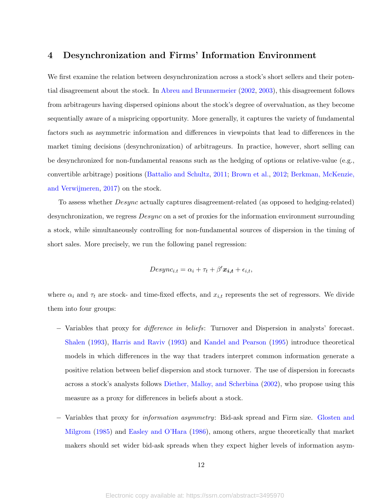## <span id="page-14-0"></span>4 Desynchronization and Firms' Information Environment

We first examine the relation between desynchronization across a stock's short sellers and their potential disagreement about the stock. In [Abreu and Brunnermeier](#page-32-0) [\(2002,](#page-32-0) [2003\)](#page-32-1), this disagreement follows from arbitrageurs having dispersed opinions about the stock's degree of overvaluation, as they become sequentially aware of a mispricing opportunity. More generally, it captures the variety of fundamental factors such as asymmetric information and differences in viewpoints that lead to differences in the market timing decisions (desynchronization) of arbitrageurs. In practice, however, short selling can be desynchronized for non-fundamental reasons such as the hedging of options or relative-value (e.g., convertible arbitrage) positions [\(Battalio and Schultz,](#page-32-5) [2011;](#page-32-5) [Brown et al.,](#page-33-9) [2012;](#page-33-9) [Berkman, McKenzie,](#page-32-6) [and Verwijmeren,](#page-32-6) [2017\)](#page-32-6) on the stock.

To assess whether Desync actually captures disagreement-related (as opposed to hedging-related) desynchronization, we regress  $Desync$  on a set of proxies for the information environment surrounding a stock, while simultaneously controlling for non-fundamental sources of dispersion in the timing of short sales. More precisely, we run the following panel regression:

$$
Desync_{i.t} = \alpha_i + \tau_t + \beta' \mathbf{x_{i,t}} + \epsilon_{i,t},
$$

where  $\alpha_i$  and  $\tau_t$  are stock- and time-fixed effects, and  $x_{i,t}$  represents the set of regressors. We divide them into four groups:

- − Variables that proxy for difference in beliefs: Turnover and Dispersion in analysts' forecast. [Shalen](#page-36-10) [\(1993\)](#page-36-10), [Harris and Raviv](#page-35-7) [\(1993\)](#page-35-7) and [Kandel and Pearson](#page-35-8) [\(1995\)](#page-35-8) introduce theoretical models in which differences in the way that traders interpret common information generate a positive relation between belief dispersion and stock turnover. The use of dispersion in forecasts across a stock's analysts follows [Diether, Malloy, and Scherbina](#page-34-8) [\(2002\)](#page-34-8), who propose using this measure as a proxy for differences in beliefs about a stock.
- − Variables that proxy for information asymmetry: Bid-ask spread and Firm size. [Glosten and](#page-35-9) [Milgrom](#page-35-9) [\(1985\)](#page-35-9) and [Easley and O'Hara](#page-34-9) [\(1986\)](#page-34-9), among others, argue theoretically that market makers should set wider bid-ask spreads when they expect higher levels of information asym-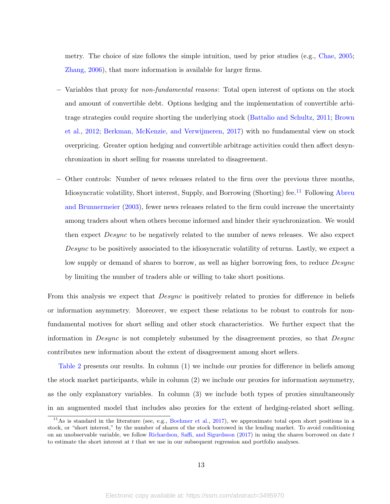metry. The choice of size follows the simple intuition, used by prior studies (e.g., [Chae,](#page-33-10) [2005;](#page-33-10) [Zhang,](#page-37-1) [2006\)](#page-37-1), that more information is available for larger firms.

- − Variables that proxy for non-fundamental reasons: Total open interest of options on the stock and amount of convertible debt. Options hedging and the implementation of convertible arbitrage strategies could require shorting the underlying stock [\(Battalio and Schultz,](#page-32-5) [2011;](#page-32-5) [Brown](#page-33-9) [et al.,](#page-33-9) [2012;](#page-33-9) [Berkman, McKenzie, and Verwijmeren,](#page-32-6) [2017\)](#page-32-6) with no fundamental view on stock overpricing. Greater option hedging and convertible arbitrage activities could then affect desynchronization in short selling for reasons unrelated to disagreement.
- − Other controls: Number of news releases related to the firm over the previous three months, Idiosyncratic volatility, Short interest, Supply, and Borrowing (Shorting) fee.<sup>[11](#page-2-0)</sup> Following [Abreu](#page-32-1) [and Brunnermeier](#page-32-1) [\(2003\)](#page-32-1), fewer news releases related to the firm could increase the uncertainty among traders about when others become informed and hinder their synchronization. We would then expect Desync to be negatively related to the number of news releases. We also expect Desync to be positively associated to the idiosyncratic volatility of returns. Lastly, we expect a low supply or demand of shares to borrow, as well as higher borrowing fees, to reduce *Desync* by limiting the number of traders able or willing to take short positions.

From this analysis we expect that *Desync* is positively related to proxies for difference in beliefs or information asymmetry. Moreover, we expect these relations to be robust to controls for nonfundamental motives for short selling and other stock characteristics. We further expect that the information in Desync is not completely subsumed by the disagreement proxies, so that Desync contributes new information about the extent of disagreement among short sellers.

Table [2](#page-42-0) presents our results. In column (1) we include our proxies for difference in beliefs among the stock market participants, while in column (2) we include our proxies for information asymmetry, as the only explanatory variables. In column (3) we include both types of proxies simultaneously in an augmented model that includes also proxies for the extent of hedging-related short selling.

<sup>&</sup>lt;sup>11</sup>As is standard in the literature (see, e.g., [Boehmer et al.,](#page-33-11) [2017\)](#page-33-11), we approximate total open short positions in a stock, or "short interest," by the number of shares of the stock borrowed in the lending market. To avoid conditioning on an unobservable variable, we follow [Richardson, Saffi, and Sigurdsson](#page-36-11) [\(2017\)](#page-36-11) in using the shares borrowed on date t to estimate the short interest at  $t$  that we use in our subsequent regression and portfolio analyses.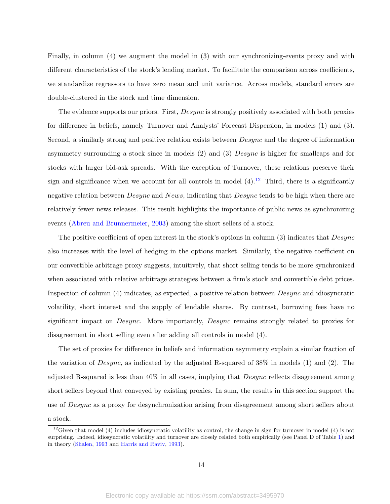Finally, in column (4) we augment the model in (3) with our synchronizing-events proxy and with different characteristics of the stock's lending market. To facilitate the comparison across coefficients, we standardize regressors to have zero mean and unit variance. Across models, standard errors are double-clustered in the stock and time dimension.

The evidence supports our priors. First, Desync is strongly positively associated with both proxies for difference in beliefs, namely Turnover and Analysts' Forecast Dispersion, in models (1) and (3). Second, a similarly strong and positive relation exists between Desync and the degree of information asymmetry surrounding a stock since in models (2) and (3) Desync is higher for smallcaps and for stocks with larger bid-ask spreads. With the exception of Turnover, these relations preserve their sign and significance when we account for all controls in model  $(4)$ .<sup>[12](#page-2-0)</sup> Third, there is a significantly negative relation between *Desync* and *News*, indicating that *Desync* tends to be high when there are relatively fewer news releases. This result highlights the importance of public news as synchronizing events [\(Abreu and Brunnermeier,](#page-32-1) [2003\)](#page-32-1) among the short sellers of a stock.

The positive coefficient of open interest in the stock's options in column (3) indicates that Desync also increases with the level of hedging in the options market. Similarly, the negative coefficient on our convertible arbitrage proxy suggests, intuitively, that short selling tends to be more synchronized when associated with relative arbitrage strategies between a firm's stock and convertible debt prices. Inspection of column (4) indicates, as expected, a positive relation between Desync and idiosyncratic volatility, short interest and the supply of lendable shares. By contrast, borrowing fees have no significant impact on *Desync*. More importantly, *Desync* remains strongly related to proxies for disagreement in short selling even after adding all controls in model (4).

The set of proxies for difference in beliefs and information asymmetry explain a similar fraction of the variation of  $Desync$ , as indicated by the adjusted R-squared of 38% in models (1) and (2). The adjusted R-squared is less than 40% in all cases, implying that Desync reflects disagreement among short sellers beyond that conveyed by existing proxies. In sum, the results in this section support the use of *Desync* as a proxy for desynchronization arising from disagreement among short sellers about a stock.

 $12$ Given that model (4) includes idiosyncratic volatility as control, the change in sign for turnover in model (4) is not surprising. Indeed, idiosyncratic volatility and turnover are closely related both empirically (see Panel D of Table [1\)](#page-40-0) and in theory [\(Shalen,](#page-36-10) [1993](#page-36-10) and [Harris and Raviv,](#page-35-7) [1993\)](#page-35-7).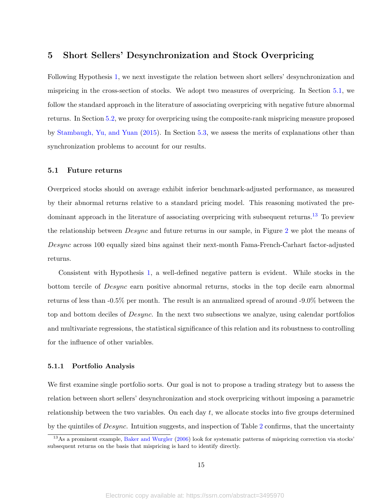## <span id="page-17-0"></span>5 Short Sellers' Desynchronization and Stock Overpricing

Following Hypothesis [1,](#page-8-1) we next investigate the relation between short sellers' desynchronization and mispricing in the cross-section of stocks. We adopt two measures of overpricing. In Section [5.1,](#page-17-1) we follow the standard approach in the literature of associating overpricing with negative future abnormal returns. In Section [5.2,](#page-21-0) we proxy for overpricing using the composite-rank mispricing measure proposed by [Stambaugh, Yu, and Yuan](#page-36-0) [\(2015\)](#page-36-0). In Section [5.3,](#page-22-0) we assess the merits of explanations other than synchronization problems to account for our results.

#### <span id="page-17-1"></span>5.1 Future returns

Overpriced stocks should on average exhibit inferior benchmark-adjusted performance, as measured by their abnormal returns relative to a standard pricing model. This reasoning motivated the pre-dominant approach in the literature of associating overpricing with subsequent returns.<sup>[13](#page-2-0)</sup> To preview the relationship between *Desync* and future returns in our sample, in Figure [2](#page-39-0) we plot the means of Desync across 100 equally sized bins against their next-month Fama-French-Carhart factor-adjusted returns.

Consistent with Hypothesis [1,](#page-8-1) a well-defined negative pattern is evident. While stocks in the bottom tercile of Desync earn positive abnormal returns, stocks in the top decile earn abnormal returns of less than -0.5% per month. The result is an annualized spread of around -9.0% between the top and bottom deciles of Desync. In the next two subsections we analyze, using calendar portfolios and multivariate regressions, the statistical significance of this relation and its robustness to controlling for the influence of other variables.

#### <span id="page-17-2"></span>5.1.1 Portfolio Analysis

We first examine single portfolio sorts. Our goal is not to propose a trading strategy but to assess the relation between short sellers' desynchronization and stock overpricing without imposing a parametric relationship between the two variables. On each day t, we allocate stocks into five groups determined by the quintiles of Desync. Intuition suggests, and inspection of Table [2](#page-42-0) confirms, that the uncertainty

<sup>&</sup>lt;sup>13</sup>As a prominent example, [Baker and Wurgler](#page-32-7) [\(2006\)](#page-32-7) look for systematic patterns of mispricing correction via stocks' subsequent returns on the basis that mispricing is hard to identify directly.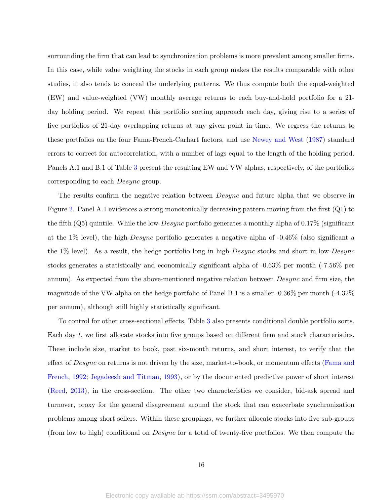surrounding the firm that can lead to synchronization problems is more prevalent among smaller firms. In this case, while value weighting the stocks in each group makes the results comparable with other studies, it also tends to conceal the underlying patterns. We thus compute both the equal-weighted (EW) and value-weighted (VW) monthly average returns to each buy-and-hold portfolio for a 21 day holding period. We repeat this portfolio sorting approach each day, giving rise to a series of five portfolios of 21-day overlapping returns at any given point in time. We regress the returns to these portfolios on the four Fama-French-Carhart factors, and use [Newey and West](#page-36-12) [\(1987\)](#page-36-12) standard errors to correct for autocorrelation, with a number of lags equal to the length of the holding period. Panels A.1 and B.1 of Table [3](#page-43-0) present the resulting EW and VW alphas, respectively, of the portfolios corresponding to each Desync group.

The results confirm the negative relation between *Desync* and future alpha that we observe in Figure [2.](#page-39-0) Panel A.1 evidences a strong monotonically decreasing pattern moving from the first (Q1) to the fifth  $(Q5)$  quintile. While the low-Desync portfolio generates a monthly alpha of 0.17% (significant at the 1% level), the high-Desync portfolio generates a negative alpha of -0.46% (also significant a the 1% level). As a result, the hedge portfolio long in high-Desync stocks and short in low-Desync stocks generates a statistically and economically significant alpha of -0.63% per month (-7.56% per annum). As expected from the above-mentioned negative relation between *Desync* and firm size, the magnitude of the VW alpha on the hedge portfolio of Panel B.1 is a smaller -0.36% per month (-4.32% per annum), although still highly statistically significant.

To control for other cross-sectional effects, Table [3](#page-43-0) also presents conditional double portfolio sorts. Each day t, we first allocate stocks into five groups based on different firm and stock characteristics. These include size, market to book, past six-month returns, and short interest, to verify that the effect of *Desync* on returns is not driven by the size, market-to-book, or momentum effects [\(Fama and](#page-34-10) [French,](#page-34-10) [1992;](#page-34-10) [Jegadeesh and Titman,](#page-35-10) [1993\)](#page-35-10), or by the documented predictive power of short interest [\(Reed,](#page-36-13) [2013\)](#page-36-13), in the cross-section. The other two characteristics we consider, bid-ask spread and turnover, proxy for the general disagreement around the stock that can exacerbate synchronization problems among short sellers. Within these groupings, we further allocate stocks into five sub-groups (from low to high) conditional on Desync for a total of twenty-five portfolios. We then compute the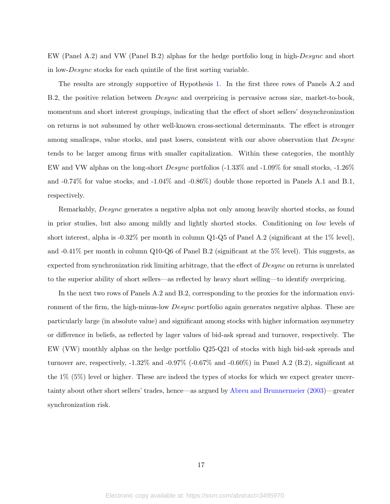EW (Panel A.2) and VW (Panel B.2) alphas for the hedge portfolio long in high-Desync and short in low-Desync stocks for each quintile of the first sorting variable.

The results are strongly supportive of Hypothesis [1.](#page-8-1) In the first three rows of Panels A.2 and B.2, the positive relation between Desync and overpricing is pervasive across size, market-to-book, momentum and short interest groupings, indicating that the effect of short sellers' desynchronization on returns is not subsumed by other well-known cross-sectional determinants. The effect is stronger among smallcaps, value stocks, and past losers, consistent with our above observation that  $Desync$ tends to be larger among firms with smaller capitalization. Within these categories, the monthly EW and VW alphas on the long-short Desync portfolios (-1.33% and -1.09% for small stocks, -1.26% and -0.74% for value stocks, and -1.04% and -0.86%) double those reported in Panels A.1 and B.1, respectively.

Remarkably, Desync generates a negative alpha not only among heavily shorted stocks, as found in prior studies, but also among mildly and lightly shorted stocks. Conditioning on low levels of short interest, alpha is -0.32% per month in column Q1-Q5 of Panel A.2 (significant at the 1% level), and -0.41% per month in column Q10-Q6 of Panel B.2 (significant at the 5% level). This suggests, as expected from synchronization risk limiting arbitrage, that the effect of *Desync* on returns is unrelated to the superior ability of short sellers—as reflected by heavy short selling—to identify overpricing.

In the next two rows of Panels A.2 and B.2, corresponding to the proxies for the information environment of the firm, the high-minus-low *Desync* portfolio again generates negative alphas. These are particularly large (in absolute value) and significant among stocks with higher information asymmetry or difference in beliefs, as reflected by lager values of bid-ask spread and turnover, respectively. The EW (VW) monthly alphas on the hedge portfolio Q25-Q21 of stocks with high bid-ask spreads and turnover are, respectively, -1.32% and -0.97% (-0.67% and -0.60%) in Panel A.2 (B.2), significant at the 1% (5%) level or higher. These are indeed the types of stocks for which we expect greater uncertainty about other short sellers' trades, hence—as argued by [Abreu and Brunnermeier](#page-32-1) [\(2003\)](#page-32-1)—greater synchronization risk.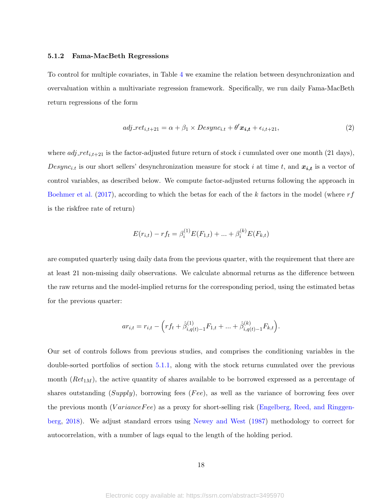#### 5.1.2 Fama-MacBeth Regressions

To control for multiple covariates, in Table [4](#page-44-0) we examine the relation between desynchronization and overvaluation within a multivariate regression framework. Specifically, we run daily Fama-MacBeth return regressions of the form

<span id="page-20-0"></span>
$$
adj\_ret_{i,t+21} = \alpha + \beta_1 \times Desync_{i,t} + \theta' \mathbf{x}_{i,t} + \epsilon_{i,t+21},
$$
\n<sup>(2)</sup>

where  $adj\_ret_{i,t+21}$  is the factor-adjusted future return of stock i cumulated over one month (21 days), Desync<sub>i.t</sub> is our short sellers' desynchronization measure for stock i at time t, and  $x_{i,t}$  is a vector of control variables, as described below. We compute factor-adjusted returns following the approach in [Boehmer et al.](#page-33-11) [\(2017\)](#page-33-11), according to which the betas for each of the k factors in the model (where  $rf$ is the riskfree rate of return)

$$
E(r_{i,t}) - rf_t = \beta_i^{(1)} E(F_{1,t}) + \dots + \beta_i^{(k)} E(F_{k,t})
$$

are computed quarterly using daily data from the previous quarter, with the requirement that there are at least 21 non-missing daily observations. We calculate abnormal returns as the difference between the raw returns and the model-implied returns for the corresponding period, using the estimated betas for the previous quarter:

$$
ar_{i,t} = r_{i,t} - \left( r f_t + \hat{\beta}_{i,q(t)-1}^{(1)} F_{1,t} + \dots + \hat{\beta}_{i,q(t)-1}^{(k)} F_{k,t} \right).
$$

Our set of controls follows from previous studies, and comprises the conditioning variables in the double-sorted portfolios of section [5.1.1,](#page-17-2) along with the stock returns cumulated over the previous month  $(Ret<sub>1M</sub>)$ , the active quantity of shares available to be borrowed expressed as a percentage of shares outstanding  $(Supply)$ , borrowing fees (Fee), as well as the variance of borrowing fees over the previous month (VarianceFee) as a proxy for short-selling risk [\(Engelberg, Reed, and Ringgen](#page-34-0)[berg,](#page-34-0) [2018\)](#page-34-0). We adjust standard errors using [Newey and West](#page-36-12) [\(1987\)](#page-36-12) methodology to correct for autocorrelation, with a number of lags equal to the length of the holding period.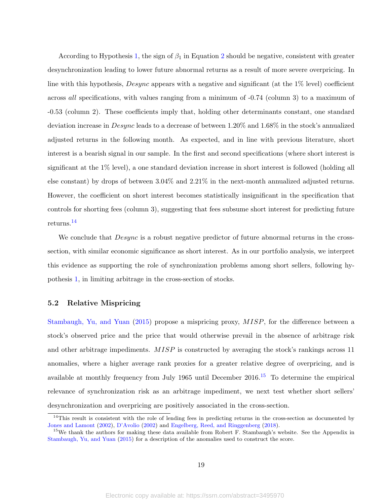According to Hypothesis [1,](#page-8-1) the sign of  $\beta_1$  in Equation [2](#page-20-0) should be negative, consistent with greater desynchronization leading to lower future abnormal returns as a result of more severe overpricing. In line with this hypothesis, *Desync* appears with a negative and significant (at the  $1\%$  level) coefficient across all specifications, with values ranging from a minimum of -0.74 (column 3) to a maximum of -0.53 (column 2). These coefficients imply that, holding other determinants constant, one standard deviation increase in  $Desync$  leads to a decrease of between 1.20% and 1.68% in the stock's annualized adjusted returns in the following month. As expected, and in line with previous literature, short interest is a bearish signal in our sample. In the first and second specifications (where short interest is significant at the 1% level), a one standard deviation increase in short interest is followed (holding all else constant) by drops of between 3.04% and 2.21% in the next-month annualized adjusted returns. However, the coefficient on short interest becomes statistically insignificant in the specification that controls for shorting fees (column 3), suggesting that fees subsume short interest for predicting future returns.[14](#page-2-0)

We conclude that *Desync* is a robust negative predictor of future abnormal returns in the crosssection, with similar economic significance as short interest. As in our portfolio analysis, we interpret this evidence as supporting the role of synchronization problems among short sellers, following hypothesis [1,](#page-8-1) in limiting arbitrage in the cross-section of stocks.

#### <span id="page-21-0"></span>5.2 Relative Mispricing

[Stambaugh, Yu, and Yuan](#page-36-0) [\(2015\)](#page-36-0) propose a mispricing proxy, MISP, for the difference between a stock's observed price and the price that would otherwise prevail in the absence of arbitrage risk and other arbitrage impediments. MISP is constructed by averaging the stock's rankings across 11 anomalies, where a higher average rank proxies for a greater relative degree of overpricing, and is available at monthly frequency from July 1965 until December  $2016<sup>15</sup>$  $2016<sup>15</sup>$  $2016<sup>15</sup>$  To determine the empirical relevance of synchronization risk as an arbitrage impediment, we next test whether short sellers' desynchronization and overpricing are positively associated in the cross-section.

 $14$ This result is consistent with the role of lending fees in predicting returns in the cross-section as documented by [Jones and Lamont](#page-35-2) [\(2002\)](#page-35-2), [D'Avolio](#page-33-1) [\(2002\)](#page-33-1) and [Engelberg, Reed, and Ringgenberg](#page-34-0) [\(2018\)](#page-34-0).

<sup>&</sup>lt;sup>15</sup>We thank the authors for making these data available from Robert F. Stambaugh's website. See the Appendix in [Stambaugh, Yu, and Yuan](#page-36-0) [\(2015\)](#page-36-0) for a description of the anomalies used to construct the score.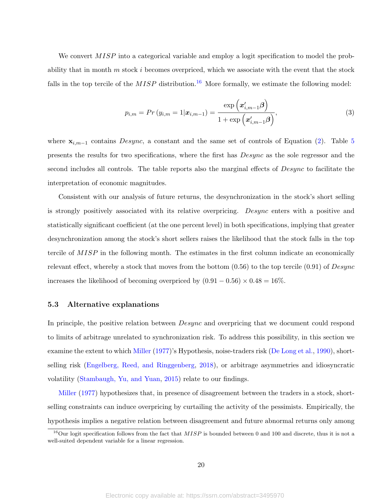We convert MISP into a categorical variable and employ a logit specification to model the probability that in month  $m$  stock  $i$  becomes overpriced, which we associate with the event that the stock falls in the top tercile of the  $MISP$  distribution.<sup>[16](#page-2-0)</sup> More formally, we estimate the following model:

<span id="page-22-1"></span>
$$
p_{i,m} = Pr(y_{i,m} = 1 | \bm{x}_{i,m-1}) = \frac{\exp\left(\bm{x}'_{i,m-1}\bm{\beta}\right)}{1 + \exp\left(\bm{x}'_{i,m-1}\bm{\beta}\right)},\tag{3}
$$

where  $\mathbf{x}_{i,m-1}$  contains Desync, a constant and the same set of controls of Equation [\(2\)](#page-20-0). Table [5](#page-45-0) presents the results for two specifications, where the first has Desync as the sole regressor and the second includes all controls. The table reports also the marginal effects of Desync to facilitate the interpretation of economic magnitudes.

Consistent with our analysis of future returns, the desynchronization in the stock's short selling is strongly positively associated with its relative overpricing. Desync enters with a positive and statistically significant coefficient (at the one percent level) in both specifications, implying that greater desynchronization among the stock's short sellers raises the likelihood that the stock falls in the top tercile of MISP in the following month. The estimates in the first column indicate an economically relevant effect, whereby a stock that moves from the bottom  $(0.56)$  to the top tercile  $(0.91)$  of Desync increases the likelihood of becoming overpriced by  $(0.91 - 0.56) \times 0.48 = 16\%$ .

#### <span id="page-22-0"></span>5.3 Alternative explanations

In principle, the positive relation between *Desync* and overpricing that we document could respond to limits of arbitrage unrelated to synchronization risk. To address this possibility, in this section we examine the extent to which [Miller](#page-36-1) [\(1977\)](#page-36-1)'s Hypothesis, noise-traders risk [\(De Long et al.,](#page-33-0) [1990\)](#page-33-0), shortselling risk [\(Engelberg, Reed, and Ringgenberg,](#page-34-0) [2018\)](#page-34-0), or arbitrage asymmetries and idiosyncratic volatility [\(Stambaugh, Yu, and Yuan,](#page-36-0) [2015\)](#page-36-0) relate to our findings.

[Miller](#page-36-1) [\(1977\)](#page-36-1) hypothesizes that, in presence of disagreement between the traders in a stock, shortselling constraints can induce overpricing by curtailing the activity of the pessimists. Empirically, the hypothesis implies a negative relation between disagreement and future abnormal returns only among

<sup>&</sup>lt;sup>16</sup>Our logit specification follows from the fact that  $MISP$  is bounded between 0 and 100 and discrete, thus it is not a well-suited dependent variable for a linear regression.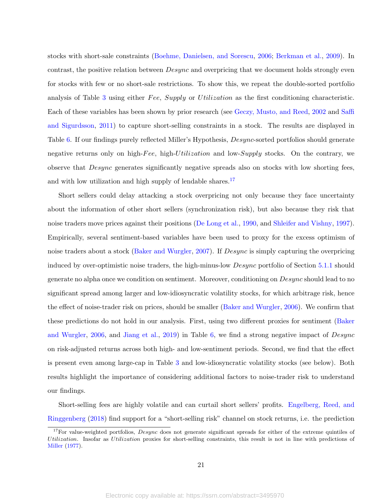stocks with short-sale constraints [\(Boehme, Danielsen, and Sorescu,](#page-32-8) [2006;](#page-32-8) [Berkman et al.,](#page-32-9) [2009\)](#page-32-9). In contrast, the positive relation between *Desync* and overpricing that we document holds strongly even for stocks with few or no short-sale restrictions. To show this, we repeat the double-sorted portfolio analysis of Table [3](#page-43-0) using either Fee, Supply or Utilization as the first conditioning characteristic. Each of these variables has been shown by prior research (see [Geczy, Musto, and Reed,](#page-34-11) [2002](#page-34-11) and [Saffi](#page-36-6) [and Sigurdsson,](#page-36-6) [2011\)](#page-36-6) to capture short-selling constraints in a stock. The results are displayed in Table [6.](#page-46-0) If our findings purely reflected Miller's Hypothesis, Desync-sorted portfolios should generate negative returns only on high-Fee, high-Utilization and low-Supply stocks. On the contrary, we observe that Desync generates significantly negative spreads also on stocks with low shorting fees, and with low utilization and high supply of lendable shares. $17$ 

Short sellers could delay attacking a stock overpricing not only because they face uncertainty about the information of other short sellers (synchronization risk), but also because they risk that noise traders move prices against their positions [\(De Long et al.,](#page-33-0) [1990,](#page-33-0) and [Shleifer and Vishny,](#page-36-2) [1997\)](#page-36-2). Empirically, several sentiment-based variables have been used to proxy for the excess optimism of noise traders about a stock [\(Baker and Wurgler,](#page-32-10) [2007\)](#page-32-10). If Desync is simply capturing the overpricing induced by over-optimistic noise traders, the high-minus-low Desync portfolio of Section [5.1.1](#page-17-2) should generate no alpha once we condition on sentiment. Moreover, conditioning on Desync should lead to no significant spread among larger and low-idiosyncratic volatility stocks, for which arbitrage risk, hence the effect of noise-trader risk on prices, should be smaller [\(Baker and Wurgler,](#page-32-7) [2006\)](#page-32-7). We confirm that these predictions do not hold in our analysis. First, using two different proxies for sentiment [\(Baker](#page-32-7) [and Wurgler,](#page-32-7) [2006,](#page-32-7) and [Jiang et al.,](#page-35-11) [2019\)](#page-35-11) in Table [6,](#page-46-0) we find a strong negative impact of Desync on risk-adjusted returns across both high- and low-sentiment periods. Second, we find that the effect is present even among large-cap in Table [3](#page-43-0) and low-idiosyncratic volatility stocks (see below). Both results highlight the importance of considering additional factors to noise-trader risk to understand our findings.

Short-selling fees are highly volatile and can curtail short sellers' profits. [Engelberg, Reed, and](#page-34-0) [Ringgenberg](#page-34-0) [\(2018\)](#page-34-0) find support for a "short-selling risk" channel on stock returns, i.e. the prediction

<sup>&</sup>lt;sup>17</sup>For value-weighted portfolios, *Desync* does not generate significant spreads for either of the extreme quintiles of Utilization. Insofar as Utilization proxies for short-selling constraints, this result is not in line with predictions of [Miller](#page-36-1) [\(1977\)](#page-36-1).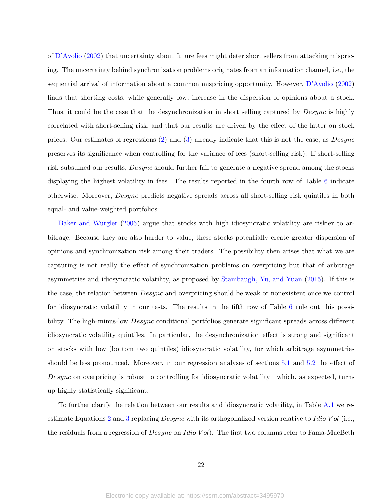of [D'Avolio](#page-33-1) [\(2002\)](#page-33-1) that uncertainty about future fees might deter short sellers from attacking mispricing. The uncertainty behind synchronization problems originates from an information channel, i.e., the sequential arrival of information about a common mispricing opportunity. However, [D'Avolio](#page-33-1) [\(2002\)](#page-33-1) finds that shorting costs, while generally low, increase in the dispersion of opinions about a stock. Thus, it could be the case that the desynchronization in short selling captured by *Desync* is highly correlated with short-selling risk, and that our results are driven by the effect of the latter on stock prices. Our estimates of regressions [\(2\)](#page-20-0) and [\(3\)](#page-22-1) already indicate that this is not the case, as Desync preserves its significance when controlling for the variance of fees (short-selling risk). If short-selling risk subsumed our results, Desync should further fail to generate a negative spread among the stocks displaying the highest volatility in fees. The results reported in the fourth row of Table [6](#page-46-0) indicate otherwise. Moreover, Desync predicts negative spreads across all short-selling risk quintiles in both equal- and value-weighted portfolios.

[Baker and Wurgler](#page-32-7) [\(2006\)](#page-32-7) argue that stocks with high idiosyncratic volatility are riskier to arbitrage. Because they are also harder to value, these stocks potentially create greater dispersion of opinions and synchronization risk among their traders. The possibility then arises that what we are capturing is not really the effect of synchronization problems on overpricing but that of arbitrage asymmetries and idiosyncratic volatility, as proposed by [Stambaugh, Yu, and Yuan](#page-36-0) [\(2015\)](#page-36-0). If this is the case, the relation between  $Desync$  and overpricing should be weak or nonexistent once we control for idiosyncratic volatility in our tests. The results in the fifth row of Table [6](#page-46-0) rule out this possibility. The high-minus-low *Desync* conditional portfolios generate significant spreads across different idiosyncratic volatility quintiles. In particular, the desynchronization effect is strong and significant on stocks with low (bottom two quintiles) idiosyncratic volatility, for which arbitrage asymmetries should be less pronounced. Moreover, in our regression analyses of sections [5.1](#page-17-1) and [5.2](#page-21-0) the effect of Desync on overpricing is robust to controlling for idiosyncratic volatility—which, as expected, turns up highly statistically significant.

To further clarify the relation between our results and idiosyncratic volatility, in Table [A.1](#page-51-0) we re-estimate Equations [2](#page-20-0) and [3](#page-22-1) replacing  $Desync$  with its orthogonalized version relative to Idio V ol (i.e., the residuals from a regression of  $Desync$  on Idio Vol). The first two columns refer to Fama-MacBeth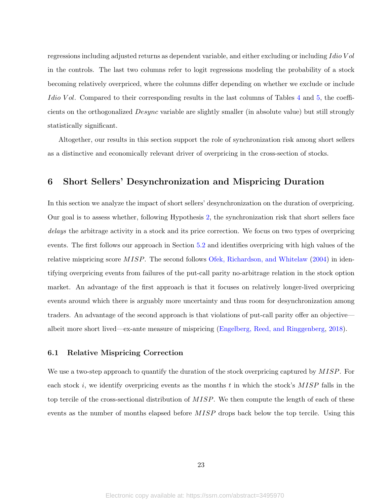regressions including adjusted returns as dependent variable, and either excluding or including Idio Vol in the controls. The last two columns refer to logit regressions modeling the probability of a stock becoming relatively overpriced, where the columns differ depending on whether we exclude or include Idio Vol. Compared to their corresponding results in the last columns of Tables [4](#page-44-0) and [5,](#page-45-0) the coefficients on the orthogonalized Desync variable are slightly smaller (in absolute value) but still strongly statistically significant.

Altogether, our results in this section support the role of synchronization risk among short sellers as a distinctive and economically relevant driver of overpricing in the cross-section of stocks.

## <span id="page-25-0"></span>6 Short Sellers' Desynchronization and Mispricing Duration

In this section we analyze the impact of short sellers' desynchronization on the duration of overpricing. Our goal is to assess whether, following Hypothesis [2,](#page-9-1) the synchronization risk that short sellers face delays the arbitrage activity in a stock and its price correction. We focus on two types of overpricing events. The first follows our approach in Section [5.2](#page-21-0) and identifies overpricing with high values of the relative mispricing score MISP. The second follows [Ofek, Richardson, and Whitelaw](#page-36-3) [\(2004\)](#page-36-3) in identifying overpricing events from failures of the put-call parity no-arbitrage relation in the stock option market. An advantage of the first approach is that it focuses on relatively longer-lived overpricing events around which there is arguably more uncertainty and thus room for desynchronization among traders. An advantage of the second approach is that violations of put-call parity offer an objective albeit more short lived—ex-ante measure of mispricing [\(Engelberg, Reed, and Ringgenberg,](#page-34-0) [2018\)](#page-34-0).

#### <span id="page-25-1"></span>6.1 Relative Mispricing Correction

We use a two-step approach to quantify the duration of the stock overpricing captured by MISP. For each stock i, we identify overpricing events as the months  $t$  in which the stock's  $MISP$  falls in the top tercile of the cross-sectional distribution of MISP. We then compute the length of each of these events as the number of months elapsed before MISP drops back below the top tercile. Using this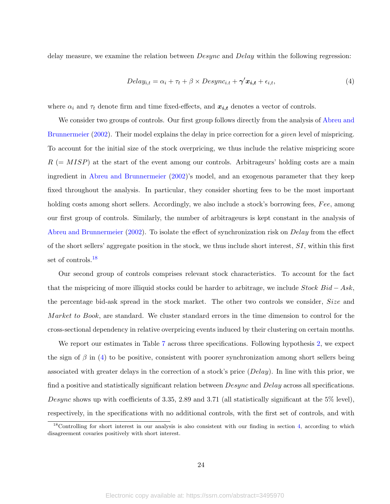delay measure, we examine the relation between *Desync* and *Delay* within the following regression:

<span id="page-26-0"></span>
$$
Delay_{i,t} = \alpha_i + \tau_t + \beta \times Desync_{i,t} + \gamma' \mathbf{x}_{i,t} + \epsilon_{i,t},
$$
\n
$$
\tag{4}
$$

where  $\alpha_i$  and  $\tau_t$  denote firm and time fixed-effects, and  $x_{i,t}$  denotes a vector of controls.

We consider two groups of controls. Our first group follows directly from the analysis of [Abreu and](#page-32-0) [Brunnermeier](#page-32-0) [\(2002\)](#page-32-0). Their model explains the delay in price correction for a *given* level of mispricing. To account for the initial size of the stock overpricing, we thus include the relative mispricing score  $R$  (=  $MISP$ ) at the start of the event among our controls. Arbitrageurs' holding costs are a main ingredient in [Abreu and Brunnermeier](#page-32-0) [\(2002\)](#page-32-0)'s model, and an exogenous parameter that they keep fixed throughout the analysis. In particular, they consider shorting fees to be the most important holding costs among short sellers. Accordingly, we also include a stock's borrowing fees, Fee, among our first group of controls. Similarly, the number of arbitrageurs is kept constant in the analysis of [Abreu and Brunnermeier](#page-32-0) [\(2002\)](#page-32-0). To isolate the effect of synchronization risk on Delay from the effect of the short sellers' aggregate position in the stock, we thus include short interest,  $SI$ , within this first set of controls.<sup>[18](#page-2-0)</sup>

Our second group of controls comprises relevant stock characteristics. To account for the fact that the mispricing of more illiquid stocks could be harder to arbitrage, we include  $Stock Bid - Ask$ , the percentage bid-ask spread in the stock market. The other two controls we consider, Size and Market to Book, are standard. We cluster standard errors in the time dimension to control for the cross-sectional dependency in relative overpricing events induced by their clustering on certain months.

We report our estimates in Table [7](#page-47-0) across three specifications. Following hypothesis [2,](#page-9-1) we expect the sign of  $\beta$  in [\(4\)](#page-26-0) to be positive, consistent with poorer synchronization among short sellers being associated with greater delays in the correction of a stock's price (Delay). In line with this prior, we find a positive and statistically significant relation between *Desync* and *Delay* across all specifications. Desync shows up with coefficients of 3.35, 2.89 and 3.71 (all statistically significant at the 5% level), respectively, in the specifications with no additional controls, with the first set of controls, and with

 $18$ Controlling for short interest in our analysis is also consistent with our finding in section [4,](#page-14-0) according to which disagreement covaries positively with short interest.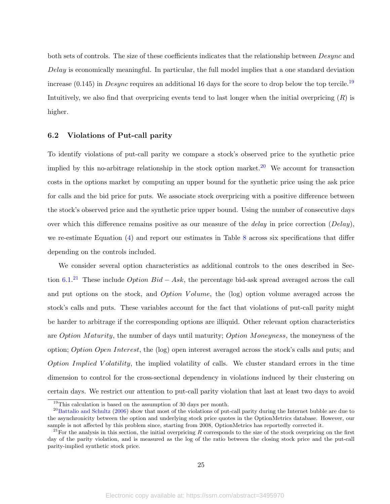both sets of controls. The size of these coefficients indicates that the relationship between Desync and Delay is economically meaningful. In particular, the full model implies that a one standard deviation increase (0.145) in *Desync* requires an additional 16 days for the score to drop below the top tercile.<sup>[19](#page-2-0)</sup> Intuitively, we also find that overpricing events tend to last longer when the initial overpricing  $(R)$  is higher.

#### 6.2 Violations of Put-call parity

To identify violations of put-call parity we compare a stock's observed price to the synthetic price implied by this no-arbitrage relationship in the stock option market.<sup>[20](#page-2-0)</sup> We account for transaction costs in the options market by computing an upper bound for the synthetic price using the ask price for calls and the bid price for puts. We associate stock overpricing with a positive difference between the stock's observed price and the synthetic price upper bound. Using the number of consecutive days over which this difference remains positive as our measure of the *delay* in price correction  $(Delay)$ , we re-estimate Equation [\(4\)](#page-26-0) and report our estimates in Table [8](#page-48-0) across six specifications that differ depending on the controls included.

We consider several option characteristics as additional controls to the ones described in Section  $6.1<sup>21</sup>$  $6.1<sup>21</sup>$  $6.1<sup>21</sup>$  These include *Option Bid* – Ask, the percentage bid-ask spread averaged across the call and put options on the stock, and *Option Volume*, the (log) option volume averaged across the stock's calls and puts. These variables account for the fact that violations of put-call parity might be harder to arbitrage if the corresponding options are illiquid. Other relevant option characteristics are Option Maturity, the number of days until maturity; Option Moneyness, the moneyness of the option; Option Open Interest, the (log) open interest averaged across the stock's calls and puts; and Option Implied Volatility, the implied volatility of calls. We cluster standard errors in the time dimension to control for the cross-sectional dependency in violations induced by their clustering on certain days. We restrict our attention to put-call parity violation that last at least two days to avoid

<sup>19</sup>This calculation is based on the assumption of 30 days per month.

 $^{20}$ [Battalio and Schultz](#page-32-11) [\(2006\)](#page-32-11) show that most of the violations of put-call parity during the Internet bubble are due to the asynchronicity between the option and underlying stock price quotes in the OptionMetrics database. However, our sample is not affected by this problem since, starting from 2008, OptionMetrics has reportedly corrected it.

<sup>&</sup>lt;sup>21</sup>For the analysis in this section, the initial overpricing R corresponds to the size of the stock overpricing on the first day of the parity violation, and is measured as the log of the ratio between the closing stock price and the put-call parity-implied synthetic stock price.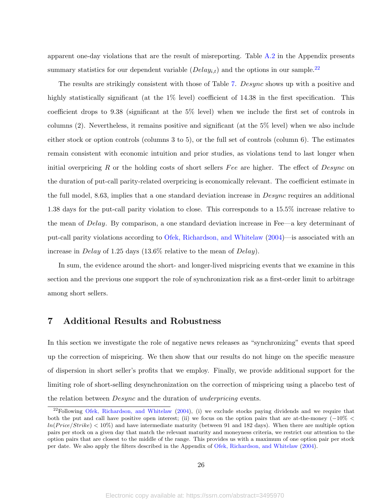apparent one-day violations that are the result of misreporting. Table [A.2](#page-52-0) in the Appendix presents summary statistics for our dependent variable  $(Delay_{i,t})$  and the options in our sample.<sup>[22](#page-2-0)</sup>

The results are strikingly consistent with those of Table [7.](#page-47-0) Desync shows up with a positive and highly statistically significant (at the  $1\%$  level) coefficient of 14.38 in the first specification. This coefficient drops to 9.38 (significant at the 5% level) when we include the first set of controls in columns (2). Nevertheless, it remains positive and significant (at the 5% level) when we also include either stock or option controls (columns 3 to 5), or the full set of controls (column 6). The estimates remain consistent with economic intuition and prior studies, as violations tend to last longer when initial overpricing R or the holding costs of short sellers Fee are higher. The effect of  $Desync$  on the duration of put-call parity-related overpricing is economically relevant. The coefficient estimate in the full model, 8.63, implies that a one standard deviation increase in *Desync* requires an additional 1.38 days for the put-call parity violation to close. This corresponds to a 15.5% increase relative to the mean of Delay. By comparison, a one standard deviation increase in Fee—a key determinant of put-call parity violations according to [Ofek, Richardson, and Whitelaw](#page-36-3) [\(2004\)](#page-36-3)—is associated with an increase in *Delay* of 1.25 days (13.6% relative to the mean of *Delay*).

In sum, the evidence around the short- and longer-lived mispricing events that we examine in this section and the previous one support the role of synchronization risk as a first-order limit to arbitrage among short sellers.

## <span id="page-28-0"></span>7 Additional Results and Robustness

In this section we investigate the role of negative news releases as "synchronizing" events that speed up the correction of mispricing. We then show that our results do not hinge on the specific measure of dispersion in short seller's profits that we employ. Finally, we provide additional support for the limiting role of short-selling desynchronization on the correction of mispricing using a placebo test of the relation between Desync and the duration of underpricing events.

 $22F$ Following [Ofek, Richardson, and Whitelaw](#page-36-3) [\(2004\)](#page-36-3), (i) we exclude stocks paying dividends and we require that both the put and call have positive open interest; (ii) we focus on the option pairs that are at-the-money ( $-10\%$   $\lt$  $ln(Price/Strike) < 10\%$  and have intermediate maturity (between 91 and 182 days). When there are multiple option pairs per stock on a given day that match the relevant maturity and moneyness criteria, we restrict our attention to the option pairs that are closest to the middle of the range. This provides us with a maximum of one option pair per stock per date. We also apply the filters described in the Appendix of [Ofek, Richardson, and Whitelaw](#page-36-3) [\(2004\)](#page-36-3).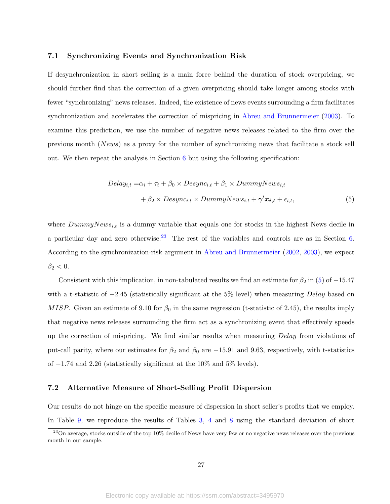#### 7.1 Synchronizing Events and Synchronization Risk

If desynchronization in short selling is a main force behind the duration of stock overpricing, we should further find that the correction of a given overpricing should take longer among stocks with fewer "synchronizing" news releases. Indeed, the existence of news events surrounding a firm facilitates synchronization and accelerates the correction of mispricing in [Abreu and Brunnermeier](#page-32-1) [\(2003\)](#page-32-1). To examine this prediction, we use the number of negative news releases related to the firm over the previous month (News) as a proxy for the number of synchronizing news that facilitate a stock sell out. We then repeat the analysis in Section [6](#page-25-0) but using the following specification:

<span id="page-29-0"></span>
$$
Delay_{i,t} = \alpha_i + \tau_t + \beta_0 \times Desync_{i,t} + \beta_1 \times DummyNews_{i,t} + \beta_2 \times Desync_{i,t} \times DummyNews_{i,t} + \gamma' x_{i,t} + \epsilon_{i,t},
$$
\n(5)

where  $DummyNews_{i,t}$  is a dummy variable that equals one for stocks in the highest News decile in a particular day and zero otherwise.<sup>[23](#page-2-0)</sup> The rest of the variables and controls are as in Section [6.](#page-25-0) According to the synchronization-risk argument in [Abreu and Brunnermeier](#page-32-0) [\(2002,](#page-32-0) [2003\)](#page-32-1), we expect  $\beta_2 < 0$ .

Consistent with this implication, in non-tabulated results we find an estimate for  $\beta_2$  in [\(5\)](#page-29-0) of -15.47 with a t-statistic of  $-2.45$  (statistically significant at the 5% level) when measuring Delay based on MISP. Given an estimate of 9.10 for  $\beta_0$  in the same regression (t-statistic of 2.45), the results imply that negative news releases surrounding the firm act as a synchronizing event that effectively speeds up the correction of mispricing. We find similar results when measuring Delay from violations of put-call parity, where our estimates for  $\beta_2$  and  $\beta_0$  are  $-15.91$  and 9.63, respectively, with t-statistics of −1.74 and 2.26 (statistically significant at the 10% and 5% levels).

#### 7.2 Alternative Measure of Short-Selling Profit Dispersion

Our results do not hinge on the specific measure of dispersion in short seller's profits that we employ. In Table [9,](#page-49-0) we reproduce the results of Tables [3,](#page-43-0) [4](#page-44-0) and [8](#page-48-0) using the standard deviation of short

<sup>&</sup>lt;sup>23</sup>On average, stocks outside of the top 10% decile of News have very few or no negative news releases over the previous month in our sample.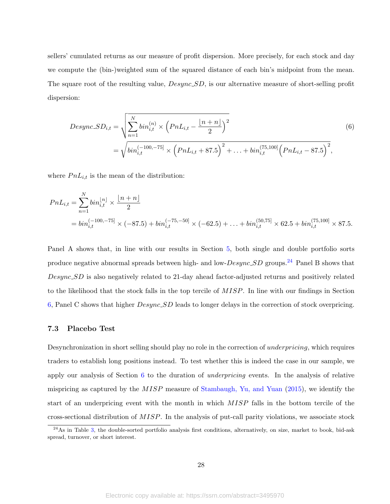sellers' cumulated returns as our measure of profit dispersion. More precisely, for each stock and day we compute the (bin-)weighted sum of the squared distance of each bin's midpoint from the mean. The square root of the resulting value,  $Desync\_SD$ , is our alternative measure of short-selling profit dispersion:

<span id="page-30-0"></span>
$$
Desync.SD_{i,t} = \sqrt{\sum_{n=1}^{N} bin_{i,t}^{(n)} \times \left( PnL_{i,t} - \frac{\lfloor n+n \rfloor}{2} \right)^2}
$$
\n
$$
= \sqrt{bin_{i,t}^{(-100,-75]} \times \left( PnL_{i,t} + 87.5 \right)^2 + \dots + bin_{i,t}^{(75,100]} \left( PnL_{i,t} - 87.5 \right)^2},
$$
\n(6)

where  $PnL_{i,t}$  is the mean of the distribution:

$$
PnL_{i,t} = \sum_{n=1}^{N} bin_{i,t}^{\lfloor n \rfloor} \times \frac{\lfloor n+n \rfloor}{2}
$$
  
=  $bin_{i,t}^{(-100,-75)} \times (-87.5) + bin_{i,t}^{(-75,-50)} \times (-62.5) + ... + bin_{i,t}^{(50,75)} \times 62.5 + bin_{i,t}^{(75,100)} \times 87.5.$ 

Panel A shows that, in line with our results in Section [5,](#page-17-0) both single and double portfolio sorts produce negative abnormal spreads between high- and low- $Desync\_SD$  groups.<sup>[24](#page-2-0)</sup> Panel B shows that Desync SD is also negatively related to 21-day ahead factor-adjusted returns and positively related to the likelihood that the stock falls in the top tercile of MISP. In line with our findings in Section [6,](#page-25-0) Panel C shows that higher Desync SD leads to longer delays in the correction of stock overpricing.

#### 7.3 Placebo Test

Desynchronization in short selling should play no role in the correction of underpricing, which requires traders to establish long positions instead. To test whether this is indeed the case in our sample, we apply our analysis of Section [6](#page-25-0) to the duration of underpricing events. In the analysis of relative mispricing as captured by the  $MISP$  measure of [Stambaugh, Yu, and Yuan](#page-36-0) [\(2015\)](#page-36-0), we identify the start of an underpricing event with the month in which MISP falls in the bottom tercile of the cross-sectional distribution of MISP. In the analysis of put-call parity violations, we associate stock

 $24$ As in Table [3,](#page-43-0) the double-sorted portfolio analysis first conditions, alternatively, on size, market to book, bid-ask spread, turnover, or short interest.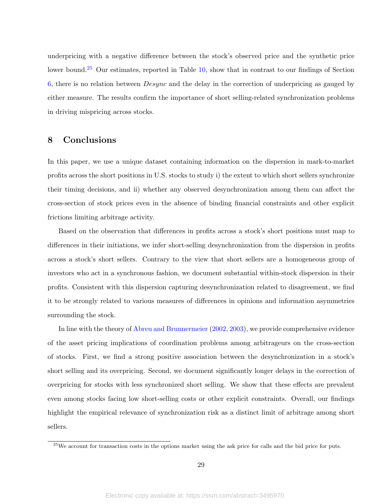underpricing with a negative difference between the stock's observed price and the synthetic price lower bound.<sup>[25](#page-2-0)</sup> Our estimates, reported in Table [10,](#page-50-0) show that in contrast to our findings of Section [6,](#page-25-0) there is no relation between Desync and the delay in the correction of underpricing as gauged by either measure. The results confirm the importance of short selling-related synchronization problems in driving mispricing across stocks.

## <span id="page-31-0"></span>8 Conclusions

In this paper, we use a unique dataset containing information on the dispersion in mark-to-market profits across the short positions in U.S. stocks to study i) the extent to which short sellers synchronize their timing decisions, and ii) whether any observed desynchronization among them can affect the cross-section of stock prices even in the absence of binding financial constraints and other explicit frictions limiting arbitrage activity.

Based on the observation that differences in profits across a stock's short positions must map to differences in their initiations, we infer short-selling desynchronization from the dispersion in profits across a stock's short sellers. Contrary to the view that short sellers are a homogeneous group of investors who act in a synchronous fashion, we document substantial within-stock dispersion in their profits. Consistent with this dispersion capturing desynchronization related to disagreement, we find it to be strongly related to various measures of differences in opinions and information asymmetries surrounding the stock.

In line with the theory of [Abreu and Brunnermeier](#page-32-0) [\(2002,](#page-32-0) [2003\)](#page-32-1), we provide comprehensive evidence of the asset pricing implications of coordination problems among arbitrageurs on the cross-section of stocks. First, we find a strong positive association between the desynchronization in a stock's short selling and its overpricing. Second, we document significantly longer delays in the correction of overpricing for stocks with less synchronized short selling. We show that these effects are prevalent even among stocks facing low short-selling costs or other explicit constraints. Overall, our findings highlight the empirical relevance of synchronization risk as a distinct limit of arbitrage among short sellers.

 $25$ We account for transaction costs in the options market using the ask price for calls and the bid price for puts.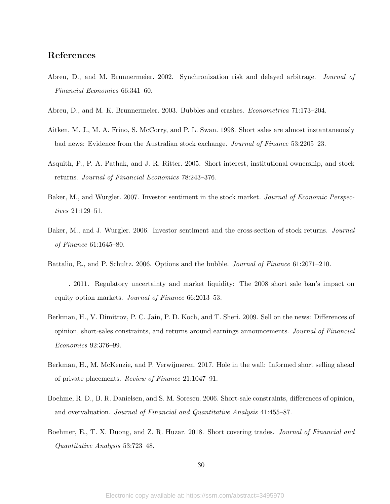## References

- <span id="page-32-0"></span>Abreu, D., and M. Brunnermeier. 2002. Synchronization risk and delayed arbitrage. Journal of Financial Economics 66:341–60.
- <span id="page-32-1"></span>Abreu, D., and M. K. Brunnermeier. 2003. Bubbles and crashes. Econometrica 71:173–204.
- <span id="page-32-2"></span>Aitken, M. J., M. A. Frino, S. McCorry, and P. L. Swan. 1998. Short sales are almost instantaneously bad news: Evidence from the Australian stock exchange. Journal of Finance 53:2205–23.
- <span id="page-32-3"></span>Asquith, P., P. A. Pathak, and J. R. Ritter. 2005. Short interest, institutional ownership, and stock returns. Journal of Financial Economics 78:243–376.
- <span id="page-32-10"></span>Baker, M., and Wurgler. 2007. Investor sentiment in the stock market. *Journal of Economic Perspec*tives 21:129–51.
- <span id="page-32-7"></span>Baker, M., and J. Wurgler. 2006. Investor sentiment and the cross-section of stock returns. Journal of Finance 61:1645–80.
- <span id="page-32-11"></span>Battalio, R., and P. Schultz. 2006. Options and the bubble. Journal of Finance 61:2071–210.
- <span id="page-32-5"></span>———. 2011. Regulatory uncertainty and market liquidity: The 2008 short sale ban's impact on equity option markets. Journal of Finance 66:2013–53.
- <span id="page-32-9"></span>Berkman, H., V. Dimitrov, P. C. Jain, P. D. Koch, and T. Sheri. 2009. Sell on the news: Differences of opinion, short-sales constraints, and returns around earnings announcements. Journal of Financial Economics 92:376–99.
- <span id="page-32-6"></span>Berkman, H., M. McKenzie, and P. Verwijmeren. 2017. Hole in the wall: Informed short selling ahead of private placements. Review of Finance 21:1047–91.
- <span id="page-32-8"></span>Boehme, R. D., B. R. Danielsen, and S. M. Sorescu. 2006. Short-sale constraints, differences of opinion, and overvaluation. Journal of Financial and Quantitative Analysis 41:455–87.
- <span id="page-32-4"></span>Boehmer, E., T. X. Duong, and Z. R. Huzar. 2018. Short covering trades. *Journal of Financial and* Quantitative Analysis 53:723–48.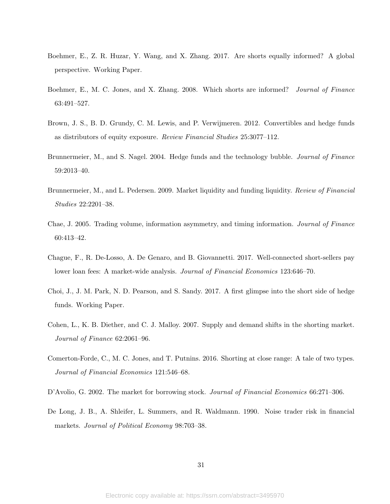- <span id="page-33-11"></span>Boehmer, E., Z. R. Huzar, Y. Wang, and X. Zhang. 2017. Are shorts equally informed? A global perspective. Working Paper.
- <span id="page-33-4"></span>Boehmer, E., M. C. Jones, and X. Zhang. 2008. Which shorts are informed? Journal of Finance 63:491–527.
- <span id="page-33-9"></span>Brown, J. S., B. D. Grundy, C. M. Lewis, and P. Verwijmeren. 2012. Convertibles and hedge funds as distributors of equity exposure. Review Financial Studies 25:3077–112.
- <span id="page-33-3"></span>Brunnermeier, M., and S. Nagel. 2004. Hedge funds and the technology bubble. Journal of Finance 59:2013–40.
- <span id="page-33-2"></span>Brunnermeier, M., and L. Pedersen. 2009. Market liquidity and funding liquidity. *Review of Financial* Studies 22:2201–38.
- <span id="page-33-10"></span>Chae, J. 2005. Trading volume, information asymmetry, and timing information. Journal of Finance 60:413–42.
- <span id="page-33-6"></span>Chague, F., R. De-Losso, A. De Genaro, and B. Giovannetti. 2017. Well-connected short-sellers pay lower loan fees: A market-wide analysis. Journal of Financial Economics 123:646–70.
- <span id="page-33-8"></span>Choi, J., J. M. Park, N. D. Pearson, and S. Sandy. 2017. A first glimpse into the short side of hedge funds. Working Paper.
- <span id="page-33-7"></span>Cohen, L., K. B. Diether, and C. J. Malloy. 2007. Supply and demand shifts in the shorting market. Journal of Finance 62:2061–96.
- <span id="page-33-5"></span>Comerton-Forde, C., M. C. Jones, and T. Putnins. 2016. Shorting at close range: A tale of two types. Journal of Financial Economics 121:546–68.
- <span id="page-33-1"></span>D'Avolio, G. 2002. The market for borrowing stock. Journal of Financial Economics 66:271–306.
- <span id="page-33-0"></span>De Long, J. B., A. Shleifer, L. Summers, and R. Waldmann. 1990. Noise trader risk in financial markets. Journal of Political Economy 98:703–38.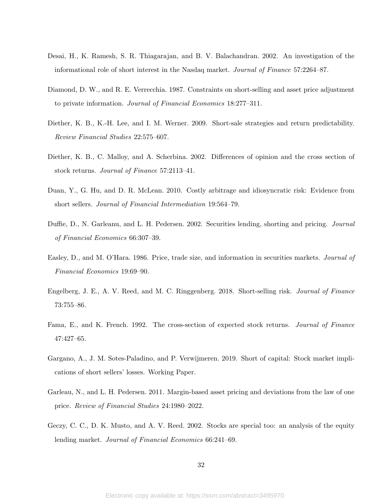- <span id="page-34-7"></span>Desai, H., K. Ramesh, S. R. Thiagarajan, and B. V. Balachandran. 2002. An investigation of the informational role of short interest in the Nasdaq market. Journal of Finance 57:2264–87.
- <span id="page-34-1"></span>Diamond, D. W., and R. E. Verrecchia. 1987. Constraints on short-selling and asset price adjustment to private information. Journal of Financial Economics 18:277–311.
- <span id="page-34-6"></span>Diether, K. B., K.-H. Lee, and I. M. Werner. 2009. Short-sale strategies and return predictability. Review Financial Studies 22:575–607.
- <span id="page-34-8"></span>Diether, K. B., C. Malloy, and A. Scherbina. 2002. Differences of opinion and the cross section of stock returns. Journal of Finance 57:2113–41.
- <span id="page-34-4"></span>Duan, Y., G. Hu, and D. R. McLean. 2010. Costly arbitrage and idiosyncratic risk: Evidence from short sellers. Journal of Financial Intermediation 19:564–79.
- <span id="page-34-2"></span>Duffie, D., N. Garleanu, and L. H. Pedersen. 2002. Securities lending, shorting and pricing. Journal of Financial Economics 66:307–39.
- <span id="page-34-9"></span>Easley, D., and M. O'Hara. 1986. Price, trade size, and information in securities markets. Journal of Financial Economics 19:69–90.
- <span id="page-34-0"></span>Engelberg, J. E., A. V. Reed, and M. C. Ringgenberg. 2018. Short-selling risk. Journal of Finance 73:755–86.
- <span id="page-34-10"></span>Fama, E., and K. French. 1992. The cross-section of expected stock returns. Journal of Finance 47:427–65.
- <span id="page-34-5"></span>Gargano, A., J. M. Sotes-Paladino, and P. Verwijmeren. 2019. Short of capital: Stock market implications of short sellers' losses. Working Paper.
- <span id="page-34-3"></span>Garleau, N., and L. H. Pedersen. 2011. Margin-based asset pricing and deviations from the law of one price. Review of Financial Studies 24:1980–2022.
- <span id="page-34-11"></span>Geczy, C. C., D. K. Musto, and A. V. Reed. 2002. Stocks are special too: an analysis of the equity lending market. Journal of Financial Economics 66:241–69.

32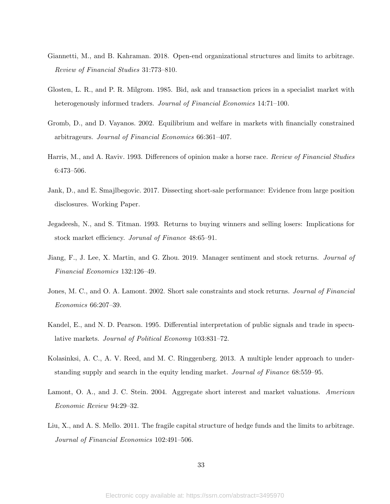- <span id="page-35-5"></span>Giannetti, M., and B. Kahraman. 2018. Open-end organizational structures and limits to arbitrage. Review of Financial Studies 31:773–810.
- <span id="page-35-9"></span>Glosten, L. R., and P. R. Milgrom. 1985. Bid, ask and transaction prices in a specialist market with heterogenously informed traders. Journal of Financial Economics 14:71–100.
- <span id="page-35-1"></span>Gromb, D., and D. Vayanos. 2002. Equilibrium and welfare in markets with financially constrained arbitrageurs. Journal of Financial Economics 66:361–407.
- <span id="page-35-7"></span>Harris, M., and A. Raviv. 1993. Differences of opinion make a horse race. Review of Financial Studies 6:473–506.
- <span id="page-35-6"></span>Jank, D., and E. Smajlbegovic. 2017. Dissecting short-sale performance: Evidence from large position disclosures. Working Paper.
- <span id="page-35-10"></span>Jegadeesh, N., and S. Titman. 1993. Returns to buying winners and selling losers: Implications for stock market efficiency. Jorunal of Finance 48:65–91.
- <span id="page-35-11"></span>Jiang, F., J. Lee, X. Martin, and G. Zhou. 2019. Manager sentiment and stock returns. Journal of Financial Economics 132:126–49.
- <span id="page-35-2"></span>Jones, M. C., and O. A. Lamont. 2002. Short sale constraints and stock returns. Journal of Financial Economics 66:207–39.
- <span id="page-35-8"></span>Kandel, E., and N. D. Pearson. 1995. Differential interpretation of public signals and trade in speculative markets. Journal of Political Economy 103:831–72.
- <span id="page-35-3"></span>Kolasinksi, A. C., A. V. Reed, and M. C. Ringgenberg. 2013. A multiple lender approach to understanding supply and search in the equity lending market. Journal of Finance 68:559–95.
- <span id="page-35-0"></span>Lamont, O. A., and J. C. Stein. 2004. Aggregate short interest and market valuations. American Economic Review 94:29–32.
- <span id="page-35-4"></span>Liu, X., and A. S. Mello. 2011. The fragile capital structure of hedge funds and the limits to arbitrage. Journal of Financial Economics 102:491–506.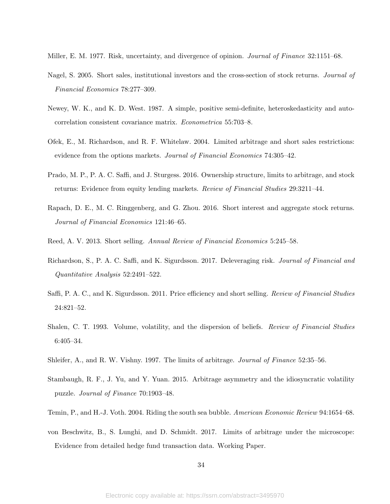<span id="page-36-1"></span>Miller, E. M. 1977. Risk, uncertainty, and divergence of opinion. *Journal of Finance* 32:1151–68.

- <span id="page-36-5"></span>Nagel, S. 2005. Short sales, institutional investors and the cross-section of stock returns. Journal of Financial Economics 78:277–309.
- <span id="page-36-12"></span>Newey, W. K., and K. D. West. 1987. A simple, positive semi-definite, heteroskedasticity and autocorrelation consistent covariance matrix. Econometrica 55:703–8.
- <span id="page-36-3"></span>Ofek, E., M. Richardson, and R. F. Whitelaw. 2004. Limited arbitrage and short sales restrictions: evidence from the options markets. Journal of Financial Economics 74:305-42.
- <span id="page-36-7"></span>Prado, M. P., P. A. C. Saffi, and J. Sturgess. 2016. Ownership structure, limits to arbitrage, and stock returns: Evidence from equity lending markets. Review of Financial Studies 29:3211–44.
- <span id="page-36-8"></span>Rapach, D. E., M. C. Ringgenberg, and G. Zhou. 2016. Short interest and aggregate stock returns. Journal of Financial Economics 121:46–65.
- <span id="page-36-13"></span>Reed, A. V. 2013. Short selling. Annual Review of Financial Economics 5:245–58.
- <span id="page-36-11"></span>Richardson, S., P. A. C. Saffi, and K. Sigurdsson. 2017. Deleveraging risk. Journal of Financial and Quantitative Analysis 52:2491–522.
- <span id="page-36-6"></span>Saffi, P. A. C., and K. Sigurdsson. 2011. Price efficiency and short selling. Review of Financial Studies 24:821–52.
- <span id="page-36-10"></span>Shalen, C. T. 1993. Volume, volatility, and the dispersion of beliefs. *Review of Financial Studies* 6:405–34.
- <span id="page-36-2"></span>Shleifer, A., and R. W. Vishny. 1997. The limits of arbitrage. Journal of Finance 52:35–56.
- <span id="page-36-0"></span>Stambaugh, R. F., J. Yu, and Y. Yuan. 2015. Arbitrage asymmetry and the idiosyncratic volatility puzzle. Journal of Finance 70:1903–48.
- <span id="page-36-4"></span>Temin, P., and H.-J. Voth. 2004. Riding the south sea bubble. American Economic Review 94:1654–68.
- <span id="page-36-9"></span>von Beschwitz, B., S. Lunghi, and D. Schmidt. 2017. Limits of arbitrage under the microscope: Evidence from detailed hedge fund transaction data. Working Paper.

34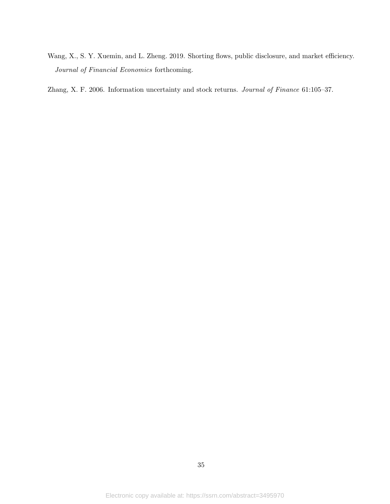<span id="page-37-0"></span>Wang, X., S. Y. Xuemin, and L. Zheng. 2019. Shorting flows, public disclosure, and market efficiency. Journal of Financial Economics forthcoming.

<span id="page-37-1"></span>Zhang, X. F. 2006. Information uncertainty and stock returns. Journal of Finance 61:105–37.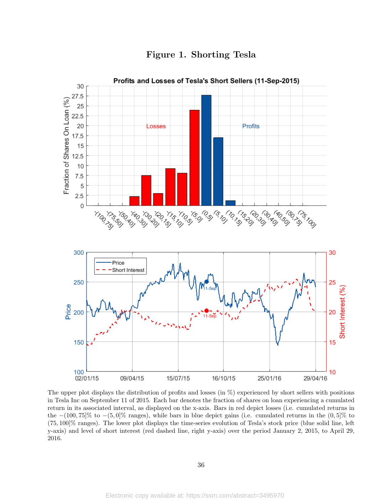<span id="page-38-0"></span>

Figure 1. Shorting Tesla

The upper plot displays the distribution of profits and losses (in  $\%$ ) experienced by short sellers with positions in Tesla Inc on September 11 of 2015. Each bar denotes the fraction of shares on loan experiencing a cumulated return in its associated interval, as displayed on the x-axis. Bars in red depict losses (i.e. cumulated returns in the  $-(100, 75)\%$  to  $-(5, 0)\%$  ranges), while bars in blue depict gains (i.e. cumulated returns in the  $(0, 5)\%$  to (75, 100]% ranges). The lower plot displays the time-series evolution of Tesla's stock price (blue solid line, left y-axis) and level of short interest (red dashed line, right y-axis) over the period January 2, 2015, to April 29, 2016.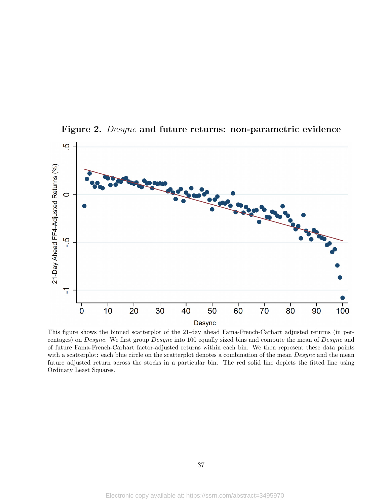

<span id="page-39-0"></span>Figure 2. Desync and future returns: non-parametric evidence

This figure shows the binned scatterplot of the 21-day ahead Fama-French-Carhart adjusted returns (in percentages) on Desync. We first group Desync into 100 equally sized bins and compute the mean of Desync and of future Fama-French-Carhart factor-adjusted returns within each bin. We then represent these data points with a scatterplot: each blue circle on the scatterplot denotes a combination of the mean  $Desync$  and the mean future adjusted return across the stocks in a particular bin. The red solid line depicts the fitted line using Ordinary Least Squares.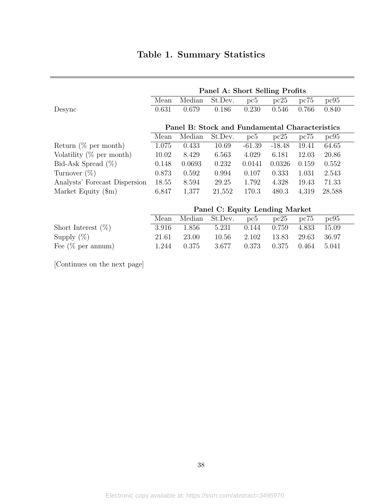<span id="page-40-0"></span>

|                               | Panel A: Short Selling Profits |                                                |         |          |          |       |        |  |
|-------------------------------|--------------------------------|------------------------------------------------|---------|----------|----------|-------|--------|--|
|                               | Mean                           | Median                                         | St.Dev. | pc5      | pc25     | pc75  | pc95   |  |
| Desync                        | 0.631                          | 0.679                                          | 0.186   | 0.230    | 0.546    | 0.766 | 0.840  |  |
|                               |                                | Panel B: Stock and Fundamental Characteristics |         |          |          |       |        |  |
|                               | Mean                           | Median                                         | St.Dev. | pc5      | pc25     | pc75  | pc95   |  |
| Return $(\%$ per month)       | 1.075                          | 0.433                                          | 10.69   | $-61.39$ | $-18.48$ | 19.41 | 64.65  |  |
| Volatility $(\%$ per month)   | 10.02                          | 8.429                                          | 6.563   | 4.029    | 6.181    | 12.03 | 20.86  |  |
| Bid-Ask Spread $(\%)$         | 0.148                          | 0.0693                                         | 0.232   | 0.0141   | 0.0326   | 0.159 | 0.552  |  |
| Turnover $(\%)$               | 0.873                          | 0.592                                          | 0.994   | 0.107    | 0.333    | 1.031 | 2.543  |  |
| Analysts' Forecast Dispersion | 18.55                          | 8.594                                          | 29.25   | 1.792    | 4.328    | 19.43 | 71.33  |  |
| Market Equity $(\text{Im})$   | 6,847                          | 1,377                                          | 21,552  | 170.3    | 480.3    | 4,319 | 28,588 |  |

|                       | Panel C: Equity Lending Market |       |                |       |       |       |       |  |
|-----------------------|--------------------------------|-------|----------------|-------|-------|-------|-------|--|
|                       | Mean                           |       | Median St.Dev. | pc5   | pc25  | pc75  | pc95  |  |
| Short Interest $(\%)$ | 3.916                          | 1.856 | 5.231          | 0.144 | 0.759 | 4.833 | 15.09 |  |
| Supply $(\%)$         | 21.61                          | 23.00 | 10.56          | 2.102 | 13.83 | 29.63 | 36.97 |  |
| Fee $(\%$ per annum)  | 1.244                          | 0.375 | 3.677          | 0.373 | 0.375 | 0.464 | 5.041 |  |

[Continues on the next page]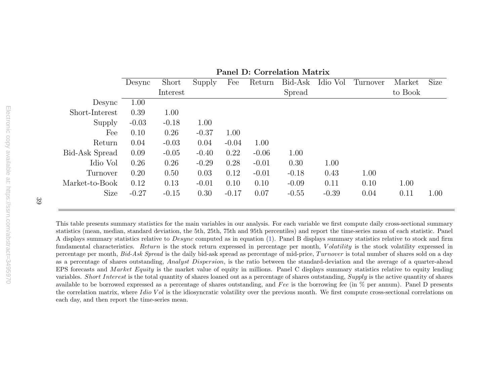|                |         |          |         |         |         | т анст руссонгонон таасти |          |          |         |      |
|----------------|---------|----------|---------|---------|---------|---------------------------|----------|----------|---------|------|
|                | Desync  | Short    | Supply  | Fee     | Return  | Bid-Ask                   | Idio Vol | Turnover | Market  | Size |
|                |         | Interest |         |         |         | Spread                    |          |          | to Book |      |
| Desync         | 1.00    |          |         |         |         |                           |          |          |         |      |
| Short-Interest | 0.39    | 1.00     |         |         |         |                           |          |          |         |      |
| Supply         | $-0.03$ | $-0.18$  | 1.00    |         |         |                           |          |          |         |      |
| Fee            | 0.10    | 0.26     | $-0.37$ | 1.00    |         |                           |          |          |         |      |
| Return         | 0.04    | $-0.03$  | 0.04    | $-0.04$ | 1.00    |                           |          |          |         |      |
| Bid-Ask Spread | 0.09    | $-0.05$  | $-0.40$ | 0.22    | $-0.06$ | 1.00                      |          |          |         |      |
| Idio Vol       | 0.26    | 0.26     | $-0.29$ | 0.28    | $-0.01$ | 0.30                      | 1.00     |          |         |      |
| Turnover       | 0.20    | 0.50     | 0.03    | 0.12    | $-0.01$ | $-0.18$                   | 0.43     | 1.00     |         |      |
| Market-to-Book | 0.12    | 0.13     | $-0.01$ | 0.10    | 0.10    | $-0.09$                   | 0.11     | 0.10     | 1.00    |      |
| Size           | $-0.27$ | $-0.15$  | 0.30    | $-0.17$ | 0.07    | $-0.55$                   | $-0.39$  | 0.04     | 0.11    | 1.00 |
|                |         |          |         |         |         |                           |          |          |         |      |

Panel D: Correlation Matrix

This table presents summary statistics for the main variables in our analysis. For each variable we first compute daily cross-sectional summary statistics (mean, median, standard deviation, the 5th, 25th, 75th and 95th percentiles) and report the time-series mean of each statistic. PanelA displays summary statistics relative to  $Desync$  computed as in equation [\(1\)](#page-11-1). Panel B displays summary statistics relative to stock and firm fundamental characteristics. Return is the stock return expressed in percentage per month, Volatility is the stock volatility expressed in percentage per month, *Bid-Ask Spread* is the daily bid-ask spread as percentage of mid-price,  $Turnover$  is total number of shares sold on a day as a percentage of shares outstanding, *Analyst Dispersion*, is the ratio between the standard-deviation and the average of a quarter-ahead EPS forecasts and *Market Equity* is the market value of equity in millions. Panel C displays summary statistics relative to equity lending variables. *Short Interest* is the total quantity of shares loaned out as a percentage of shares outstanding,  $Supply$  is the active quantity of shares available to be borrowed expressed as a percentage of shares outstanding, and  $Fee$  is the borrowing fee (in  $%$  per annum). Panel D presents the correlation matrix, where *Idio V ol* is the idiosyncratic volatility over the previous month. We first compute cross-sectional correlations on each day, and then report the time-series mean.

39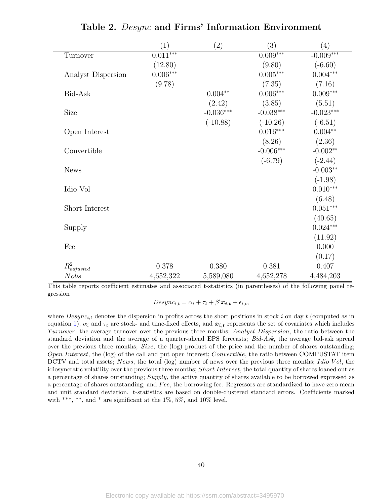<span id="page-42-0"></span>

|                             | $\left( 1\right)$ | $\left( 2\right)$ | (3)         | (4)         |
|-----------------------------|-------------------|-------------------|-------------|-------------|
| Turnover                    | $0.011***$        |                   | $0.009***$  | $-0.009***$ |
|                             | (12.80)           |                   | (9.80)      | $(-6.60)$   |
| Analyst Dispersion          | $0.006***$        |                   | $0.005***$  | $0.004***$  |
|                             | (9.78)            |                   | (7.35)      | (7.16)      |
| Bid-Ask                     |                   | $0.004**$         | $0.006***$  | $0.009***$  |
|                             |                   | (2.42)            | (3.85)      | (5.51)      |
| Size                        |                   | $-0.036***$       | $-0.038***$ | $-0.023***$ |
|                             |                   | $(-10.88)$        | $(-10.26)$  | $(-6.51)$   |
| Open Interest               |                   |                   | $0.016***$  | $0.004**$   |
|                             |                   |                   | (8.26)      | (2.36)      |
| Convertible                 |                   |                   | $-0.006***$ | $-0.002**$  |
|                             |                   |                   | $(-6.79)$   | $(-2.44)$   |
| <b>News</b>                 |                   |                   |             | $-0.003**$  |
|                             |                   |                   |             | $(-1.98)$   |
| Idio Vol                    |                   |                   |             | $0.010***$  |
|                             |                   |                   |             | (6.48)      |
| Short Interest              |                   |                   |             | $0.051***$  |
|                             |                   |                   |             | (40.65)     |
| Supply                      |                   |                   |             | $0.024***$  |
|                             |                   |                   |             | (11.92)     |
| Fee                         |                   |                   |             | 0.000       |
|                             |                   |                   |             | (0.17)      |
| $\overline{R^2_{adjusted}}$ | 0.378             | 0.380             | 0.381       | 0.407       |
| <b>Nobs</b>                 | 4,652,322         | 5,589,080         | 4,652,278   | 4,484,203   |

Table 2. Desync and Firms' Information Environment

This table reports coefficient estimates and associated t-statistics (in parentheses) of the following panel regression

 $Desync_{i,t} = \alpha_i + \tau_t + \beta' \mathbf{x_{i,t}} + \epsilon_{i,t},$ 

where  $Desync_{i,t}$  denotes the dispersion in profits across the short positions in stock i on day t (computed as in equation [1\)](#page-11-0),  $\alpha_i$  and  $\tau_t$  are stock- and time-fixed effects, and  $x_{i,t}$  represents the set of covariates which includes Turnover, the average turnover over the previous three months; Analyst Dispersion, the ratio between the standard deviation and the average of a quarter-ahead EPS forecasts; Bid-Ask, the average bid-ask spread over the previous three months; Size, the (log) product of the price and the number of shares outstanding; Open Interest, the (log) of the call and put open interest; Convertible, the ratio between COMPUSTAT item DCTV and total assets; News, the total (log) number of news over the previous three months; Idio Vol, the idiosyncratic volatility over the previous three months; Short Interest, the total quantity of shares loaned out as a percentage of shares outstanding; Supply, the active quantity of shares available to be borrowed expressed as a percentage of shares outstanding; and Fee, the borrowing fee. Regressors are standardized to have zero mean and unit standard deviation. t-statistics are based on double-clustered standard errors. Coefficients marked with \*\*\*, \*\*, and \* are significant at the 1%, 5%, and 10% level.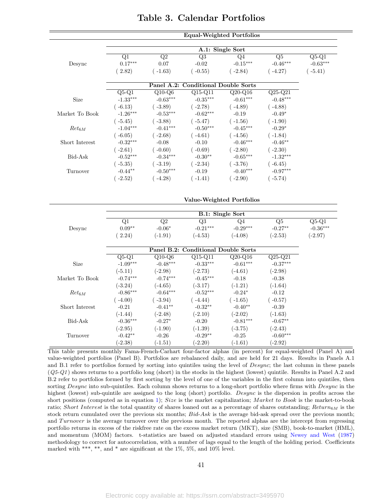<span id="page-43-0"></span>

|                |                         |                         |                                     | Equal-Weighted Portfolios |                          |            |
|----------------|-------------------------|-------------------------|-------------------------------------|---------------------------|--------------------------|------------|
|                |                         |                         |                                     |                           |                          |            |
|                |                         |                         |                                     | A.1: Single Sort          |                          |            |
|                | Q1                      | $\overline{Q2}$         | $\overline{Q3}$                     | Q4                        | $\overline{\mathrm{Q5}}$ | $Q5-Q1$    |
| Desync         | $0.17***$               | 0.07                    | $-0.02$                             | $-0.15***$                | $-0.46***$               | $-0.63***$ |
|                | (2.82)                  | $(-1.63)$               | $(-0.55)$                           | $(-2.84)$                 | $(-4.27)$                | $(-5.41)$  |
|                |                         |                         | Panel A.2: Conditional Double Sorts |                           |                          |            |
|                | $Q5-Q1$                 | $Q10-Q6$                | $Q15-Q11$                           | $Q20-Q16$                 | $\overline{Q25-Q21}$     |            |
| <b>Size</b>    | $-1.33***$              | $-0.63***$              | $-0.35***$                          | $-0.61***$                | $-0.48***$               |            |
|                |                         |                         |                                     |                           |                          |            |
|                | $(-6.13)$<br>$-1.26***$ | $(-3.89)$               | $(-2.78)$<br>$-0.62***$             | $(-4.89)$                 | $(-4.88)$                |            |
| Market To Book |                         | $-0.53***$              |                                     | $-0.19$                   | $-0.49*$                 |            |
|                | $(-5.45)$               | $(-3.88)$               | $(-5.47)$                           | $(-1.56)$                 | $(-1.90)$                |            |
| $Ret_{6M}$     | $-1.04***$              | $-0.41***$              | $-0.50***$                          | $-0.45***$                | $-0.29*$                 |            |
|                | $(-6.05)$               | $(-2.68)$               | $(-4.61)$                           | $(-4.56)$                 | $(-1.84)$                |            |
| Short Interest | $-0.32***$              | $-0.08$                 | $-0.10$                             | $-0.46***$                | $-0.46**$                |            |
|                | $(-2.61)$               | $(-0.60)$               | $(-0.69)$                           | $(-2.80)$                 | $(-2.30)$                |            |
| Bid-Ask        | $-0.52***$              | $-0.34***$              | $-0.30**$                           | $-0.65***$                | $-1.32***$               |            |
|                | $(-5.35)$               | $(-3.19)$               | $(-2.34)$                           | $(-3.76)$                 | $(-6.45)$                |            |
| Turnover       | $-0.44**$               | $-0.50***$              | $-0.19$                             | $-0.40***$                | $-0.97***$               |            |
|                | $(-2.52)$               | $(-4.28)$               | $(-1.41)$                           | $(-2.90)$                 | $(-5.74)$                |            |
|                |                         |                         |                                     |                           |                          |            |
|                |                         |                         |                                     | Value-Weighted Portfolios |                          |            |
|                |                         |                         |                                     | <b>B.1: Single Sort</b>   |                          |            |
|                | $\overline{Q1}$         | $\overline{Q2}$         | $\overline{Q3}$                     | Q <sub>4</sub>            | $\overline{\mathrm{Q5}}$ | $Q5-Q1$    |
|                | $0.09**$                | $-0.06*$                | $-0.21***$                          | $-0.29***$                | $-0.27**$                | $-0.36***$ |
| Desync         |                         |                         |                                     |                           |                          |            |
|                | (2.24)                  | $(-1.91)$               | $(-4.53)$                           | $(-4.08)$                 | $(-2.53)$                | $(-2.97)$  |
|                |                         |                         | Panel B.2: Conditional Double Sorts |                           |                          |            |
|                | $Q5-Q1$                 | $\overline{Q10}$ - $Q6$ | $\overline{Q15-Q11}$                | $\overline{Q20-Q16}$      | $Q25-Q21$                |            |
| <b>Size</b>    | $-1.09***$              | $-0.48***$              | $-0.33***$                          | $-0.61***$                | $-0.37***$               |            |
|                |                         |                         |                                     |                           |                          |            |
|                |                         |                         |                                     |                           |                          |            |
|                | $(-5.11)$               | $(-2.98)$               | $(-2.73)$                           | $(-4.61)$                 | $(-2.98)$                |            |
| Market To Book | $-0.74***$              | $-0.74***$              | $-0.45***$                          | $-0.18$                   | $-0.38$                  |            |
|                | $(-3.24)$               | $(-4.65)$               | $(-3.17)$                           | $(-1.21)$                 | $(-1.64)$                |            |
| $Ret_{6M}$     | $-0.86***$              | $-0.64***$              | $-0.52***$                          | $-0.24*$                  | $-0.12$                  |            |
|                | $(-4.00)$               | $(-3.94)$               | $(-4.44)$                           | $(-1.65)$                 | $(-0.57)$                |            |
| Short Interest | $-0.21$                 | $-0.41**$               | $-0.32**$                           | $-0.40**$                 | $-0.39$                  |            |
|                | $(-1.44)$               | $(-2.48)$               | $(-2.10)$                           | $(-2.02)$                 | $(-1.63)$                |            |
| Bid-Ask        | $-0.36***$              | $-0.27*$                | $-0.20$                             | $-0.81***$                | $-0.67**$                |            |
| Turnover       | $(-2.95)$<br>$-0.42**$  | $(-1.90)$<br>$-0.26$    | $(-1.39)$<br>$-0.29**$              | $(-3.75)$<br>$-0.25$      | $(-2.43)$<br>$-0.60***$  |            |
|                |                         |                         |                                     |                           |                          |            |

## Table 3. Calendar Portfolios

This table presents monthly Fama-French-Carhart four-factor alphas (in percent) for equal-weighted (Panel A) and value-weighted portfolios (Panel B). Portfolios are rebalanced daily, and are held for 21 days. Results in Panels A.1 and B.1 refer to portfolios formed by sorting into quintiles using the level of  $Desync$ ; the last column in these panels  $(Q5-Q1)$  shows returns to a portfolio long (short) in the stocks in the highest (lowest) quintile. Results in Panel A.2 and B.2 refer to portfolios formed by first sorting by the level of one of the variables in the first column into quintiles, then sorting Desync into sub-quintiles. Each column shows returns to a long-short portfolio where firms with Desync in the highest (lowest) sub-quintile are assigned to the long (short) portfolio. Desync is the dispersion in profits across the short positions (computed as in equation [1\)](#page-11-0); Size is the market capitalization; Market to Book is the market-to-book ratio; Short Interest is the total quantity of shares loaned out as a percentage of shares outstanding;  $Return_{6M}$  is the stock return cumulated over the previous six months; Bid-Ask is the average bid-ask spread over the previous month; and Turnover is the average turnover over the previous month. The reported alphas are the intercept from regressing portfolio returns in excess of the riskfree rate on the excess market return (MKT), size (SMB), book-to-market (HML), and momentum (MOM) factors. t-statistics are based on adjusted standard errors using [Newey and West](#page-36-12) [\(1987\)](#page-36-12) methodology to correct for autocorrelation, with a number of lags equal to the length of the holding period. Coefficients marked with \*\*\*, \*\*, and \* are significant at the  $1\%$ , 5%, and  $10\%$  level.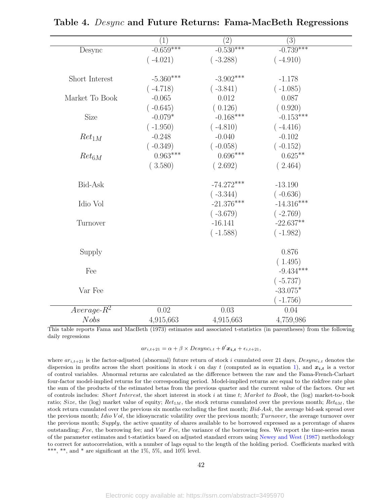<span id="page-44-0"></span>

|                | (1)         | (2)          | (3)          |  |
|----------------|-------------|--------------|--------------|--|
| Desync         | $-0.659***$ | $-0.530***$  | $-0.739***$  |  |
|                | $(-4.021)$  | $(-3.288)$   | $(-4.910)$   |  |
|                |             |              |              |  |
| Short Interest | $-5.360***$ | $-3.902***$  | $-1.178$     |  |
|                | $(-4.718)$  | $(-3.841)$   | $(-1.085)$   |  |
| Market To Book | $-0.065$    | 0.012        | 0.087        |  |
|                | $(-0.645)$  | (0.126)      | (0.920)      |  |
| Size           | $-0.079*$   | $-0.168***$  | $-0.153***$  |  |
|                | $(-1.950)$  | $(-4.810)$   | $(-4.416)$   |  |
| $Ret_{1M}$     | $-0.248$    | $-0.040$     | $-0.102$     |  |
|                | $(-0.349)$  | $(-0.058)$   | $(-0.152)$   |  |
| $Ret_{6M}$     | $0.963***$  | $0.696***$   | $0.625***$   |  |
|                | (3.580)     | (2.692)      | (2.464)      |  |
| Bid-Ask        |             | $-74.272***$ | $-13.190$    |  |
|                |             | $(-3.344)$   | $(-0.636)$   |  |
| Idio Vol       |             | $-21.376***$ | $-14.316***$ |  |
|                |             | $(-3.679)$   | $(-2.769)$   |  |
| Turnover       |             | $-16.141$    | $-22.637**$  |  |
|                |             | $(-1.588)$   | $(-1.982)$   |  |
|                |             |              |              |  |
| Supply         |             |              | 0.876        |  |
|                |             |              | (1.495)      |  |
| Fee            |             |              | $-9.434***$  |  |
|                |             |              | $(-5.737)$   |  |
| Var Fee        |             |              | $-33.075*$   |  |
|                |             |              | $-1.756)$    |  |
| $Average-R^2$  | 0.02        | 0.03         | 0.04         |  |
| <b>Nobs</b>    | 4,915,663   | 4,915,663    | 4,759,986    |  |

Table 4. Desync and Future Returns: Fama-MacBeth Regressions

This table reports Fama and MacBeth (1973) estimates and associated t-statistics (in parentheses) from the following daily regressions

$$
ar_{i,t+21} = \alpha + \beta \times Desync_{i,t} + \theta' \mathbf{x_{i,t}} + \epsilon_{i,t+21},
$$

where  $ar_{i,t+21}$  is the factor-adjusted (abnormal) future return of stock i cumulated over 21 days,  $Desync_{i,t}$  denotes the dispersion in profits across the short positions in stock i on day t (computed as in equation [1\)](#page-11-0), and  $x_{i,t}$  is a vector of control variables. Abnormal returns are calculated as the difference between the raw and the Fama-French-Carhart four-factor model-implied returns for the corresponding period. Model-implied returns are equal to the riskfree rate plus the sum of the products of the estimated betas from the previous quarter and the current value of the factors. Our set of controls includes: Short Interest, the short interest in stock  $i$  at time  $t$ ; Market to Book, the (log) market-to-book ratio; Size, the (log) market value of equity;  $Ret_{1M}$ , the stock returns cumulated over the previous month;  $Ret_{6M}$ , the stock return cumulated over the previous six months excluding the first month; Bid-Ask, the average bid-ask spread over the previous month; Idio Vol, the idiosyncratic volatility over the previous month; Turnover, the average turnover over the previous month; Supply, the active quantity of shares available to be borrowed expressed as a percentage of shares outstanding; Fee, the borrowing fee; and  $Var$  Fee, the variance of the borrowing fees. We report the time-series mean of the parameter estimates and t-statistics based on adjusted standard errors using [Newey and West](#page-36-12) [\(1987\)](#page-36-12) methodology to correct for autocorrelation, with a number of lags equal to the length of the holding period. Coefficients marked with \*\*\*, \*\*, and \* are significant at the  $1\%$ ,  $5\%$ , and  $10\%$  level.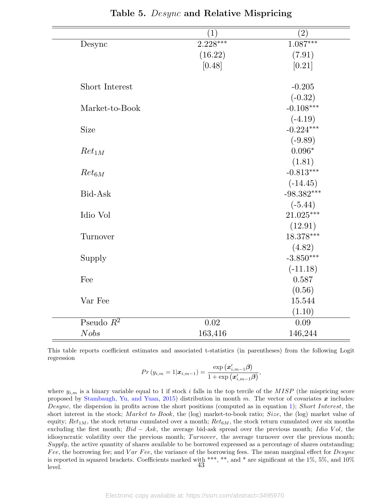<span id="page-45-0"></span>

|                | $\left 1\right\rangle$ | $\left( 2\right)$ |
|----------------|------------------------|-------------------|
| Desync         | $2.228***$             | $1.087***$        |
|                | (16.22)                | (7.91)            |
|                | [0.48]                 | [0.21]            |
|                |                        |                   |
| Short Interest |                        | $-0.205$          |
|                |                        | $(-0.32)$         |
| Market-to-Book |                        | $-0.108***$       |
|                |                        | $(-4.19)$         |
| Size           |                        | $-0.224***$       |
|                |                        | $(-9.89)$         |
| $Ret_{1M}$     |                        | $0.096*$          |
|                |                        | (1.81)            |
| $Ret_{6M}$     |                        | $-0.813***$       |
|                |                        | $(-14.45)$        |
| Bid-Ask        |                        | $-98.382***$      |
|                |                        | $(-5.44)$         |
| Idio Vol       |                        | $21.025***$       |
|                |                        | (12.91)           |
| Turnover       |                        | 18.378***         |
|                |                        | (4.82)            |
| Supply         |                        | $-3.850***$       |
|                |                        | $(-11.18)$        |
| Fee            |                        | 0.587             |
|                |                        | (0.56)            |
| Var Fee        |                        | 15.544            |
|                |                        | (1.10)            |
| Pseudo $R^2$   | 0.02                   | 0.09              |
| Nobs           | 163,416                | 146,244           |

Table 5. *Desync* and Relative Mispricing

This table reports coefficient estimates and associated t-statistics (in parentheses) from the following Logit regression

$$
Pr(y_{i,m} = 1 | \bm{x}_{i,m-1}) = \frac{\exp(\bm{x}_{i,m-1}'\bm{\beta})}{1 + \exp(\bm{x}_{i,m-1}'\bm{\beta})},
$$

where  $y_{i,m}$  is a binary variable equal to 1 if stock i falls in the top tercile of the MISP (the mispricing score proposed by [Stambaugh, Yu, and Yuan,](#page-36-0) [2015\)](#page-36-0) distribution in month m. The vector of covariates  $x$  includes: Desync, the dispersion in profits across the short positions (computed as in equation [1\)](#page-11-0); Short Interest, the short interest in the stock; Market to Book, the (log) market-to-book ratio; Size, the (log) market value of equity;  $Ret_{1M}$ , the stock returns cumulated over a month;  $Ret_{6M}$ , the stock return cumulated over six months excluding the first month;  $Bid - Ask$ , the average bid-ask spread over the previous month; Idio Vol, the idiosyncratic volatility over the previous month; Turnover, the average turnover over the previous month; Supply, the active quantity of shares available to be borrowed expressed as a percentage of shares outstanding; Fee, the borrowing fee; and  $Var$  Fee, the variance of the borrowing fees. The mean marginal effect for  $Desync$ is reported in squared brackets. Coefficients marked with \*\*\*, \*\*, and \* are significant at the 1%, 5%, and 10% level.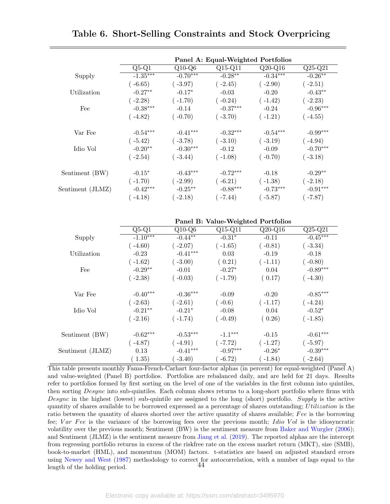<span id="page-46-0"></span>

|                  |            |                     | Panel A: Equal-Weighted Portfolios |            |            |
|------------------|------------|---------------------|------------------------------------|------------|------------|
|                  | $Q5-Q1$    | $Q10-\overline{Q6}$ | $Q15-Q11$                          | $Q20-Q16$  | $Q25-Q21$  |
| Supply           | $-1.35***$ | $-0.70***$          | $-0.28***$                         | $-0.34***$ | $-0.26***$ |
|                  | $(-6.65)$  | $(-3.97)$           | $(-2.45)$                          | $(-2.90)$  | $(-2.51)$  |
| Utilization      | $-0.27**$  | $-0.17*$            | $-0.03$                            | $-0.20$    | $-0.43**$  |
|                  | $(-2.28)$  | $(-1.70)$           | $(-0.24)$                          | $(-1.42)$  | $(-2.23)$  |
| Fee              | $-0.38***$ | $-0.14$             | $-0.37***$                         | $-0.24$    | $-0.96***$ |
|                  | $(-4.82)$  | $(-0.70)$           | $(-3.70)$                          | $(-1.21)$  | $(-4.55)$  |
| Var Fee          | $-0.54***$ | $-0.41***$          | $-0.32***$                         | $-0.54***$ | $-0.99***$ |
|                  | $(-5.42)$  | $(-3.78)$           | $(-3.10)$                          | $(-3.19)$  | $(-4.94)$  |
| Idio Vol         | $-0.20**$  | $-0.30***$          | $-0.12$                            | $-0.09$    | $-0.70***$ |
|                  | $(-2.54)$  | $(-3.44)$           | $(-1.08)$                          | $(-0.70)$  | $(-3.18)$  |
| Sentiment (BW)   | $-0.15*$   | $-0.43***$          | $-0.72***$                         | $-0.18$    | $-0.29**$  |
|                  | $(-1.70)$  | $(-2.99)$           | $(-6.21)$                          | $(-1.38)$  | $(-2.18)$  |
| Sentiment (JLMZ) | $-0.42***$ | $-0.25***$          | $-0.88***$                         | $-0.73***$ | $-0.91***$ |
|                  | $-4.18)$   | $-2.18)$            | $(-7.44)$                          | $(-5.87)$  | $-7.87)$   |

Table 6. Short-Selling Constraints and Stock Overpricing

Panel B: Value-Weighted Portfolios Q5-Q1 Q10-Q6 Q15-Q11 Q20-Q16 Q25-Q21 Supply  $-1.10***$   $-0.44**$   $-0.31*$  $-0.11$   $-0.45**$  $(-4.60)$   $(-2.07)$   $(-1.65)$   $(-0.81)$   $(-3.34)$ Utilization -0.23 -0.41<sup>∗∗∗</sup> 0.03 -0.19 -0.18  $(-1.62)$   $(-3.00)$   $(0.21)$   $(-1.11)$   $(-0.80)$ Fee  $-0.29$ <sup>\*\*</sup>  $-0.01$   $-0.27$ <sup>\*</sup>  $0.04$   $-0.89$ <sup>\*\*\*</sup>  $(-2.38)$   $(-0.03)$   $(-1.79)$   $(0.17)$   $(-4.30)$ Var Fee  $-0.40^{***}$   $-0.36^{***}$   $-0.09$   $-0.20$   $-0.85^{***}$  $(-2.63)$   $(-2.61)$   $(-0.6)$   $(-1.17)$   $(-4.24)$ Idio Vol -0.21∗∗ -0.21<sup>∗</sup>  $-0.08$  0.04  $-0.52^*$  $(-2.16)$   $(-1.74)$   $(-0.49)$   $(0.26)$   $(-1.85)$ Sentiment (BW) -0.62<sup>∗∗∗</sup> -0.53<sup>∗∗∗</sup> -1.1<sup>∗∗∗</sup> -0.15 -0.61<sup>∗∗∗</sup>  $(-4.87)$   $(-4.91)$   $(-7.72)$   $(-1.27)$   $(-5.97)$ Sentiment (JLMZ)  $0.13$   $-0.41***$   $-0.97***$   $-0.26*$ -0.39∗∗∗  $(1.35)$   $(-3.40)$   $(-6.72)$   $(-1.84)$   $(-2.64)$ 

This table presents monthly Fama-French-Carhart four-factor alphas (in percent) for equal-weighted (Panel A) and value-weighted (Panel B) portfolios. Portfolios are rebalanced daily, and are held for 21 days. Results refer to portfolios formed by first sorting on the level of one of the variables in the first column into quintiles, then sorting Desync into sub-quintiles. Each column shows returns to a long-short portfolio where firms with Desync in the highest (lowest) sub-quintile are assigned to the long (short) portfolio. Supply is the active quantity of shares available to be borrowed expressed as a percentage of shares outstanding; Utilization is the ratio between the quantity of shares shorted over the active quantity of shares available; Fee is the borrowing fee; Var Fee is the variance of the borrowing fees over the previous month; Idio Vol is the idiosyncratic volatility over the previous month; Sentiment (BW) is the sentiment measure from [Baker and Wurgler](#page-32-7) [\(2006\)](#page-32-7); and Sentiment (JLMZ) is the sentiment measure from [Jiang et al.](#page-35-11) [\(2019\)](#page-35-11). The reported alphas are the intercept from regressing portfolio returns in excess of the riskfree rate on the excess market return (MKT), size (SMB), book-to-market (HML), and momentum (MOM) factors. t-statistics are based on adjusted standard errors using [Newey and West](#page-36-12) [\(1987\)](#page-36-12) methodology to correct for autocorrelation, with a number of lags equal to the location period  $44$ length of the holding period.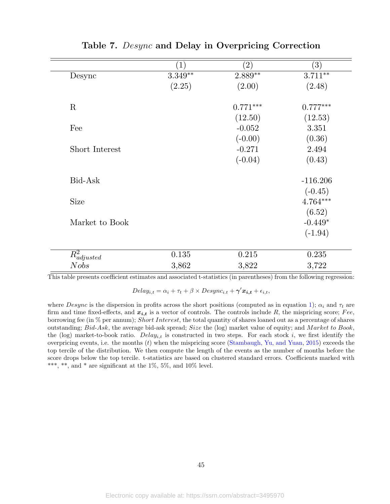<span id="page-47-0"></span>

|                  | $\left(1\right)$ | $\left( 2\right)$ | $\left( 3\right)$ |
|------------------|------------------|-------------------|-------------------|
| Desync           | $3.349**$        | $2.889**$         | $3.711***$        |
|                  | (2.25)           | (2.00)            | (2.48)            |
| R                |                  | $0.771***$        | $0.777***$        |
|                  |                  | (12.50)           | (12.53)           |
| Fee              |                  | $-0.052$          | 3.351             |
|                  |                  | $(-0.00)$         | (0.36)            |
| Short Interest   |                  | $-0.271$          | 2.494             |
|                  |                  | $(-0.04)$         | (0.43)            |
| Bid-Ask          |                  |                   | $-116.206$        |
|                  |                  |                   | $(-0.45)$         |
| <b>Size</b>      |                  |                   | 4.764***          |
|                  |                  |                   | (6.52)            |
| Market to Book   |                  |                   | $-0.449*$         |
|                  |                  |                   | $(-1.94)$         |
| $R^2_{adjusted}$ | 0.135            | 0.215             | 0.235             |
| Nobs             | 3,862            | 3,822             | 3,722             |

Table 7. Desync and Delay in Overpricing Correction

This table presents coefficient estimates and associated t-statistics (in parentheses) from the following regression:

 $Delay_{i,t} = \alpha_i + \tau_t + \beta \times Desync_{i.t} + \gamma' \mathbf{x_{i,t}} + \epsilon_{i,t},$ 

where Desync is the dispersion in profits across the short positions (computed as in equation [1\)](#page-11-0);  $\alpha_i$  and  $\tau_t$  are firm and time fixed-effects, and  $x_{i,t}$  is a vector of controls. The controls include R, the mispricing score; Fee, borrowing fee (in  $\%$  per annum); Short Interest, the total quantity of shares loaned out as a percentage of shares outstanding; Bid-Ask, the average bid-ask spread; Size the (log) market value of equity; and Market to Book, the (log) market-to-book ratio.  $Delay_{i,t}$  is constructed in two steps. For each stock i, we first identify the overpricing events, i.e. the months  $(t)$  when the mispricing score [\(Stambaugh, Yu, and Yuan,](#page-36-0) [2015\)](#page-36-0) exceeds the top tercile of the distribution. We then compute the length of the events as the number of months before the score drops below the top tercile. t-statistics are based on clustered standard errors. Coefficients marked with \*\*\*, \*\*, and \* are significant at the  $1\%$ ,  $5\%$ , and  $10\%$  level.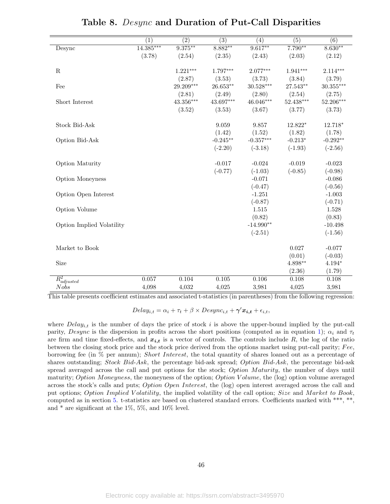<span id="page-48-0"></span>

|                           | $\overline{(1)}$ | $\overline{(2)}$ | $\overline{(3)}$ | $\overline{(4)}$ | $\overline{(5)}$ | $\overline{(6)}$ |
|---------------------------|------------------|------------------|------------------|------------------|------------------|------------------|
| Desync                    | $14.385***$      | $9.375***$       | $8.882**$        | $9.617**$        | $7.790**$        | $8.630**$        |
|                           | (3.78)           | (2.54)           | (2.35)           | (2.43)           | (2.03)           | (2.12)           |
| $\mathbf R$               |                  | $1.221***$       | $1.797***$       | $2.077***$       | $1.941***$       | $2.114***$       |
|                           |                  | (2.87)           | (3.53)           | (3.73)           | (3.84)           | (3.79)           |
| Fee                       |                  | 29.209***        | $26.653**$       | $30.528***$      | 27.543**         | $30.355***$      |
|                           |                  | (2.81)           | (2.49)           | (2.80)           | (2.54)           | (2.75)           |
| Short Interest            |                  | $43.356***$      | $43.697***$      | $46.046***$      | $52.438***$      | 52.206***        |
|                           |                  | (3.52)           | (3.53)           | (3.67)           | (3.77)           | (3.73)           |
| <b>Stock Bid-Ask</b>      |                  |                  | 9.059            | 9.857            | 12.822*          | 12.718*          |
|                           |                  |                  | (1.42)           | (1.52)           | (1.82)           | (1.78)           |
| Option Bid-Ask            |                  |                  | $-0.245***$      | $-0.357***$      | $-0.213*$        | $-0.292**$       |
|                           |                  |                  | $(-2.20)$        | $(-3.18)$        | $(-1.93)$        | $(-2.56)$        |
| Option Maturity           |                  |                  | $-0.017$         | $-0.024$         | $-0.019$         | $-0.023$         |
|                           |                  |                  | $(-0.77)$        | $(-1.03)$        | $(-0.85)$        | $(-0.98)$        |
| <b>Option Moneyness</b>   |                  |                  |                  | $-0.071$         |                  | $-0.086$         |
|                           |                  |                  |                  | $(-0.47)$        |                  | $(-0.56)$        |
| Option Open Interest      |                  |                  |                  | $-1.251$         |                  | $-1.003$         |
|                           |                  |                  |                  | $(-0.87)$        |                  | $(-0.71)$        |
| Option Volume             |                  |                  |                  | 1.515            |                  | 1.528            |
|                           |                  |                  |                  | (0.82)           |                  | (0.83)           |
| Option Implied Volatility |                  |                  |                  | $-14.990**$      |                  | $-10.498$        |
|                           |                  |                  |                  | $(-2.51)$        |                  | $(-1.56)$        |
| Market to Book            |                  |                  |                  |                  | 0.027            | $-0.077$         |
|                           |                  |                  |                  |                  | (0.01)           | $(-0.03)$        |
| Size                      |                  |                  |                  |                  | $4.898**$        | $4.194*$         |
|                           |                  |                  |                  |                  | (2.36)           | (1.79)           |
| $R_{adjusted}^2$          | 0.057            | 0.104            | 0.105            | 0.106            | 0.108            | 0.108            |
| <b>Nobs</b>               | 4,098            | 4,032            | 4,025            | 3,981            | 4,025            | 3,981            |

| Table 8. Desync and Duration of Put-Call Disparities |  |  |  |  |  |  |  |  |
|------------------------------------------------------|--|--|--|--|--|--|--|--|
|------------------------------------------------------|--|--|--|--|--|--|--|--|

This table presents coefficient estimates and associated t-statistics (in parentheses) from the following regression:

 $Delay_{i,t} = \alpha_i + \tau_t + \beta \times Desync_{i,t} + \gamma' x_{i,t} + \epsilon_{i,t},$ 

where  $Delay_{i,t}$  is the number of days the price of stock i is above the upper-bound implied by the put-call parity, Desync is the dispersion in profits across the short positions (computed as in equation [1\)](#page-11-0);  $\alpha_i$  and  $\tau_t$ are firm and time fixed-effects, and  $x_{i,t}$  is a vector of controls. The controls include R, the log of the ratio between the closing stock price and the stock price derived from the options market using put-call parity;  $Fee$ , borrowing fee (in % per annum); Short Interest, the total quantity of shares loaned out as a percentage of shares outstanding; Stock Bid-Ask, the percentage bid-ask spread; Option Bid-Ask, the percentage bid-ask spread averaged across the call and put options for the stock; Option Maturity, the number of days until maturity; Option Moneyness, the moneyness of the option; Option Volume, the (log) option volume averaged across the stock's calls and puts; *Option Open Interest*, the (log) open interest averaged across the call and put options; Option Implied Volatility, the implied volatility of the call option; Size and Market to Book, computed as in section [5.](#page-17-0) t-statistics are based on clustered standard errors. Coefficients marked with \*\*\*, \*\*, and \* are significant at the 1%, 5%, and 10% level.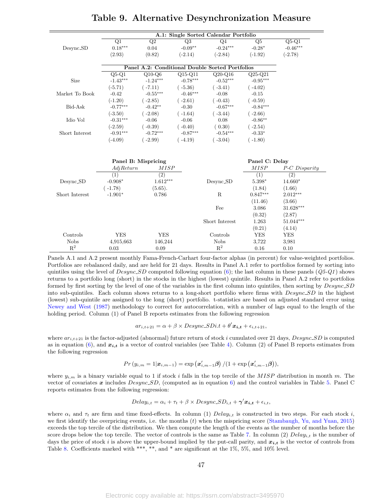|                |            |                     |                 | A.1: Single Sorted Calendar Portfolio           |                  |               |
|----------------|------------|---------------------|-----------------|-------------------------------------------------|------------------|---------------|
|                | Q1         | Q2                  | $\overline{Q3}$ | Q <sub>4</sub>                                  | Q5               | $Q5-Q1$       |
| Desync_SD      | $0.18***$  | 0.04                | $-0.09**$       | $-0.24***$                                      | $-0.28*$         | $-0.46***$    |
|                | (2.93)     | (0.82)              | $(-2.14)$       | $(-2.84)$                                       | $(-1.92)$        | $(-2.78)$     |
|                |            |                     |                 |                                                 |                  |               |
|                |            |                     |                 | Panel A.2: Conditional Double Sorted Portfolios |                  |               |
|                | $Q5-Q1$    | $Q10-Q6$            | $Q15-Q11$       | $Q20-Q16$                                       | $Q25-Q21$        |               |
| Size           | $-1.43***$ | $-1.24***$          | $-0.78***$      | $-0.52***$                                      | $-0.95***$       |               |
|                | $(-5.71)$  | $(-7.11)$           | $(-5.36)$       | $(-3.41)$                                       | $(-4.02)$        |               |
| Market To Book | $-0.42$    | $-0.55***$          | $-0.46***$      | $-0.08$                                         | $-0.15$          |               |
|                | $(-1.20)$  | $(-2.85)$           | $(-2.61)$       | $(-0.43)$                                       | $(-0.59)$        |               |
| Bid-Ask        | $-0.77***$ | $-0.42**$           | $-0.30$         | $-0.67***$                                      | $-0.84***$       |               |
|                | $(-3.50)$  | $(-2.08)$           | $(-1.64)$       | $(-3.44)$                                       | $(-2.66)$        |               |
| Idio Vol       | $-0.31***$ | $-0.06$             | $-0.06$         | 0.08                                            | $-0.86***$       |               |
|                | $(-2.59)$  | $(-0.39)$           | $(-0.40)$       | (0.30)                                          | $(-2.54)$        |               |
| Short Interest | $-0.91***$ | $-0.72***$          | $-0.87***$      | $-0.54***$                                      | $-0.33*$         |               |
|                | $(-4.09)$  | $(-2.99)$           | $(-4.19)$       | $(-3.04)$                                       | $(-1.80)$        |               |
|                |            |                     |                 |                                                 |                  |               |
|                |            | Panel B: Mispricing |                 |                                                 | Panel C: Delay   |               |
|                | AdjReturn  | <i>MISP</i>         |                 |                                                 | <b>MISP</b>      | P-C Disparity |
|                | (1)        | $\overline{(2)}$    |                 |                                                 | $\overline{(1)}$ | (2)           |
| Desync_SD      | $-0.908*$  | $1.612***$          |                 | Desync_SD                                       | $5.398*$         | $14.660*$     |
|                | $(-1.78)$  | (5.65).             |                 |                                                 | (1.84)           | (1.66)        |
| Short Interest | $-1.901*$  | 0.786               |                 | $\mathbf R$                                     | $0.847***$       | $2.012***$    |
|                |            |                     |                 |                                                 | (11.46)          | (3.66)        |
|                |            |                     |                 | Fee                                             | 3.086            | $31.628***$   |
|                |            |                     |                 |                                                 | (0.32)           | (2.87)        |
|                |            |                     |                 | Short Interest                                  | 1.263            | 51.044***     |
|                |            |                     |                 |                                                 | (0.21)           | (4.14)        |
| Controls       | <b>YES</b> | <b>YES</b>          |                 | Controls                                        | <b>YES</b>       | <b>YES</b>    |
| <b>Nobs</b>    | 4,915,663  | 146,244             |                 | <b>Nobs</b>                                     | 3,722            | 3,981         |
| $\mathbf{R}^2$ | 0.03       | 0.09                |                 | $R^2$                                           | 0.16             | 0.10          |

## Table 9. Alternative Desynchronization Measure

<span id="page-49-0"></span> $=$ 

Panels A.1 and A.2 present monthly Fama-French-Carhart four-factor alphas (in percent) for value-weighted portfolios. Portfolios are rebalanced daily, and are held for 21 days. Results in Panel A.1 refer to portfolios formed by sorting into quintiles using the level of  $Desync\_SD$  computed following equation [\(6\)](#page-30-0); the last column in these panels ( $Q5-Q1$ ) shows returns to a portfolio long (short) in the stocks in the highest (lowest) quintile. Results in Panel A.2 refer to portfolios formed by first sorting by the level of one of the variables in the first column into quintiles, then sorting by  $Desync.SD$ into sub-quintiles. Each column shows returns to a long-short portfolio where firms with Desync SD in the highest (lowest) sub-quintile are assigned to the long (short) portfolio. t-statistics are based on adjusted standard error using [Newey and West](#page-36-12) [\(1987\)](#page-36-12) methodology to correct for autocorrelation, with a number of lags equal to the length of the holding period. Column (1) of Panel B reports estimates from the following regression

$$
ar_{i,t+21} = \alpha + \beta \times Desync\_SDi.t + \theta' \mathbf{x_{i,t}} + \epsilon_{i,t+21},
$$

where  $ar_{i,t+21}$  is the factor-adjusted (abnormal) future return of stock i cumulated over 21 days,  $Desync\_SD$  is computed as in equation [\(6\)](#page-30-0), and  $x_{i,t}$  is a vector of control variables (see Table [4\)](#page-44-0). Column (2) of Panel B reports estimates from the following regression

$$
Pr(y_{i,m} = 1 | \boldsymbol{x}_{i,m-1}) = \exp\left(\boldsymbol{x}_{i,m-1}'\boldsymbol{\beta}\right) / (1 + \exp\left(\boldsymbol{x}_{i,m-1}'\boldsymbol{\beta}\right)),
$$

where  $y_{i,m}$  is a binary variable equal to 1 if stock i falls in the top tercile of the MISP distribution in month m. The vector of covariates x includes  $Desync.SD$ , (computed as in equation [6\)](#page-30-0) and the control variables in Table [5.](#page-45-0) Panel C reports estimates from the following regression:

$$
Delay_{i,t} = \alpha_i + \tau_t + \beta \times Desync\_SD_{i,t} + \gamma' \mathbf{x_{i,t}} + \epsilon_{i,t},
$$

where  $\alpha_i$  and  $\tau_t$  are firm and time fixed-effects. In column (1) Delay<sub>i,t</sub> is constructed in two steps. For each stock i, we first identify the overpricing events, i.e. the months  $(t)$  when the mispricing score [\(Stambaugh, Yu, and Yuan,](#page-36-0) [2015\)](#page-36-0) exceeds the top tercile of the distribution. We then compute the length of the events as the number of months before the score drops below the top tercile. The vector of controls is the same as Table [7.](#page-47-0) In column (2)  $Delay_{i,t}$  is the number of days the price of stock i is above the upper-bound implied by the put-call parity, and  $x_{i,t}$  is the vector of controls from Table [8.](#page-48-0) Coefficients marked with \*\*\*, \*\*, and \* are significant at the  $1\%, 5\%,$  and  $10\%$  level.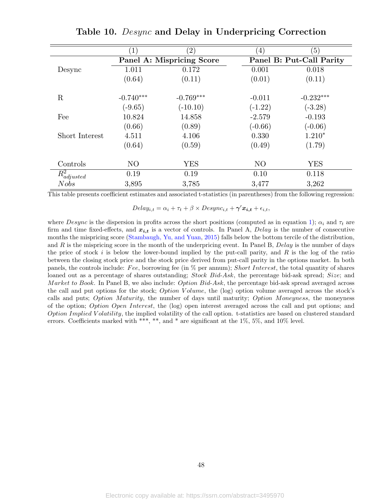<span id="page-50-0"></span>

|                  | $\left(1\right)$          | $\left( 2\right)$ | $\left( 4\right)$        | $\left(5\right)$ |  |
|------------------|---------------------------|-------------------|--------------------------|------------------|--|
|                  | Panel A: Mispricing Score |                   | Panel B: Put-Call Parity |                  |  |
| Desync           | 1.011                     | 0.172             | 0.001                    | 0.018            |  |
|                  | (0.64)                    | (0.11)            | (0.01)                   | (0.11)           |  |
|                  |                           |                   |                          |                  |  |
| $\rm R$          | $-0.740***$               | $-0.769***$       | $-0.011$                 | $-0.232***$      |  |
|                  | $(-9.65)$                 | $(-10.10)$        | $(-1.22)$                | $(-3.28)$        |  |
| Fee              | 10.824                    | 14.858            | $-2.579$                 | $-0.193$         |  |
|                  | (0.66)                    | (0.89)            | $(-0.66)$                | $(-0.06)$        |  |
| Short Interest   | 4.511                     | 4.106             | 0.330                    | $1.210*$         |  |
|                  | (0.64)                    | (0.59)            | (0.49)                   | (1.79)           |  |
|                  |                           |                   |                          |                  |  |
| Controls         | N <sub>O</sub>            | <b>YES</b>        | N <sub>O</sub>           | <b>YES</b>       |  |
| $R^2_{adjusted}$ | 0.19                      | 0.19              | 0.10                     | 0.118            |  |
| Nobs             | 3,895                     | 3,785             | 3,477                    | 3,262            |  |

Table 10. Desync and Delay in Underpricing Correction

This table presents coefficient estimates and associated t-statistics (in parentheses) from the following regression:

 $Delay_{i,t} = \alpha_i + \tau_t + \beta \times Desync_{i,t} + \gamma' x_{i,t} + \epsilon_{i,t},$ 

where Desync is the dispersion in profits across the short positions (computed as in equation [1\)](#page-11-0);  $\alpha_i$  and  $\tau_t$  are firm and time fixed-effects, and  $x_{i,t}$  is a vector of controls. In Panel A, Delay is the number of consecutive months the mispricing score [\(Stambaugh, Yu, and Yuan,](#page-36-0) [2015\)](#page-36-0) falls below the bottom tercile of the distribution, and  $R$  is the mispricing score in the month of the underpricing event. In Panel B,  $Delay$  is the number of days the price of stock i is below the lower-bound implied by the put-call parity, and  $R$  is the log of the ratio between the closing stock price and the stock price derived from put-call parity in the options market. In both panels, the controls include: Fee, borrowing fee (in  $%$  per annum); Short Interest, the total quantity of shares loaned out as a percentage of shares outstanding; Stock Bid-Ask, the percentage bid-ask spread; Size; and Market to Book. In Panel B, we also include: Option  $Bid-Ask$ , the percentage bid-ask spread averaged across the call and put options for the stock; *Option V olume*, the (log) option volume averaged across the stock's calls and puts; Option Maturity, the number of days until maturity; Option Moneyness, the moneyness of the option; Option Open Interest, the (log) open interest averaged across the call and put options; and Option Implied V olatility, the implied volatility of the call option. t-statistics are based on clustered standard errors. Coefficients marked with \*\*\*, \*\*, and \* are significant at the 1%, 5%, and 10% level.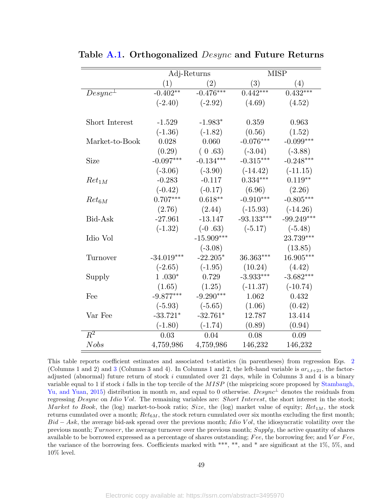|                  | Adj-Returns  |              | <b>MISP</b>  |              |  |
|------------------|--------------|--------------|--------------|--------------|--|
|                  | (1)          | (2)          | (3)          | (4)          |  |
| $Desync^{\perp}$ | $-0.402**$   | $-0.476***$  | $0.442***$   | $0.432***$   |  |
|                  | $(-2.40)$    | $(-2.92)$    | (4.69)       | (4.52)       |  |
|                  |              |              |              |              |  |
| Short Interest   | $-1.529$     | $-1.983*$    | 0.359        | 0.963        |  |
|                  | $(-1.36)$    | $(-1.82)$    | (0.56)       | (1.52)       |  |
| Market-to-Book   | 0.028        | 0.060        | $-0.076***$  | $-0.099***$  |  |
|                  | (0.29)       | (0.63)       | $(-3.04)$    | $(-3.88)$    |  |
| Size             | $-0.097***$  | $-0.134***$  | $-0.315***$  | $-0.248***$  |  |
|                  | $(-3.06)$    | $(-3.90)$    | $(-14.42)$   | $(-11.15)$   |  |
| $Ret_{1M}$       | $-0.283$     | $-0.117$     | $0.334***$   | $0.119**$    |  |
|                  | $(-0.42)$    | $(-0.17)$    | (6.96)       | (2.26)       |  |
| $Ret_{6M}$       | $0.707***$   | $0.618**$    | $-0.910***$  | $-0.805***$  |  |
|                  | (2.76)       | (2.44)       | $(-15.93)$   | $(-14.26)$   |  |
| Bid-Ask          | $-27.961$    | $-13.147$    | $-93.133***$ | $-99.249***$ |  |
|                  | $(-1.32)$    | $(-0.63)$    | $(-5.17)$    | $(-5.48)$    |  |
| Idio Vol         |              | $-15.909***$ |              | 23.739***    |  |
|                  |              | $(-3.08)$    |              | (13.85)      |  |
| Turnover         | $-34.019***$ | $-22.205*$   | $36.363***$  | 16.905***    |  |
|                  | $(-2.65)$    | $(-1.95)$    | (10.24)      | (4.42)       |  |
| Supply           | $1.030*$     | 0.729        | $-3.933***$  | $-3.682***$  |  |
|                  | (1.65)       | (1.25)       | $(-11.37)$   | $(-10.74)$   |  |
| Fee              | $-9.877***$  | $-9.290***$  | 1.062        | 0.432        |  |
|                  | $(-5.93)$    | $(-5.65)$    | (1.06)       | (0.42)       |  |
| Var Fee          | $-33.721*$   | $-32.761*$   | 12.787       | 13.414       |  |
|                  | $(-1.80)$    | $(-1.74)$    | (0.89)       | (0.94)       |  |
| $R^2$            | 0.03         | 0.04         | 0.08         | 0.09         |  |
| <b>Nobs</b>      | 4,759,986    | 4,759,986    | 146,232      | 146,232      |  |

<span id="page-51-0"></span>Table [A.1.](#page-51-0) Orthogonalized *Desync* and Future Returns

This table reports coefficient estimates and associated t-statistics (in parentheses) from regression Eqs. [2](#page-20-0) (Columns 1 and 2) and [3](#page-22-1) (Columns 3 and 4). In Columns 1 and 2, the left-hand variable is  $ar_{i,t+21}$ , the factoradjusted (abnormal) future return of stock  $i$  cumulated over 21 days, while in Columns 3 and 4 is a binary variable equal to 1 if stock i falls in the top tercile of the  $MISP$  (the mispricing score proposed by [Stambaugh,](#page-36-0) [Yu, and Yuan,](#page-36-0) [2015\)](#page-36-0) distribution in month m, and equal to 0 otherwise.  $Desync<sup>\perp</sup>$  denotes the residuals from regressing Desync on Idio Vol. The remaining variables are: Short Interest, the short interest in the stock; Market to Book, the (log) market-to-book ratio; Size, the (log) market value of equity;  $Ret_{1M}$ , the stock returns cumulated over a month;  $Ret_{6M}$ , the stock return cumulated over six months excluding the first month;  $Bid - Ask$ , the average bid-ask spread over the previous month; Idio Vol, the idiosyncratic volatility over the previous month; Turnover, the average turnover over the previous month; Supply, the active quantity of shares available to be borrowed expressed as a percentage of shares outstanding; Fee, the borrowing fee; and  $Var$  Fee, the variance of the borrowing fees. Coefficients marked with \*\*\*, \*\*, and \* are significant at the 1%, 5%, and 10% level.